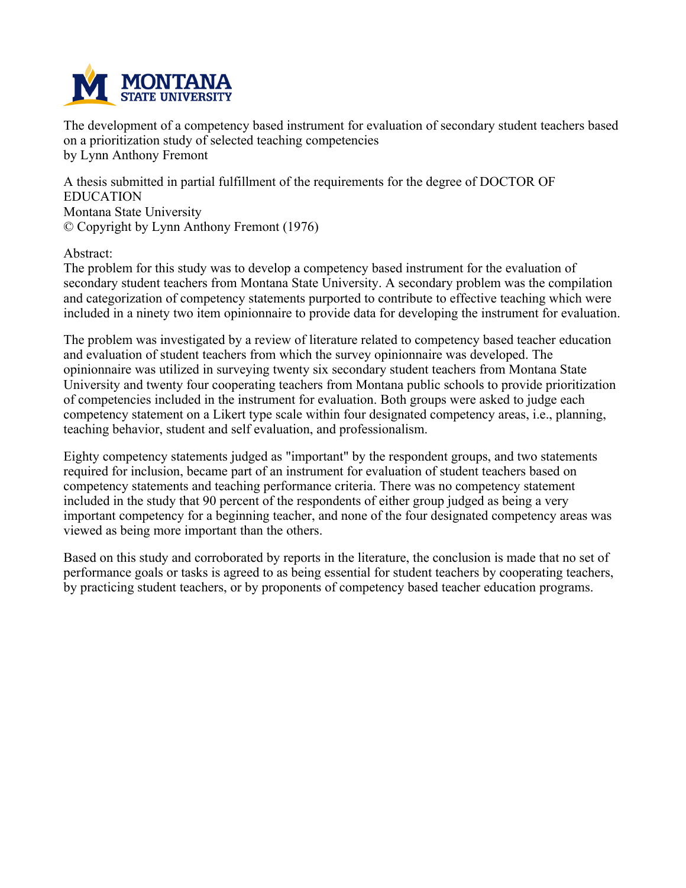

**The development of a competency based instrument for evaluation of secondary student teachers based on a prioritization study of selected teaching competencies by Lynn Anthony Fremont**

**A thesis submitted in partial fulfillment of the requirements for the degree of DOCTOR OF EDUCATION Montana State University © Copyright by Lynn Anthony Fremont (1976)**

**Abstract:**

**The problem for this study was to develop a competency based instrument for the evaluation of secondary student teachers from Montana State University. A secondary problem was the compilation and categorization of competency statements purported to contribute to effective teaching which were included in a ninety two item opinionnaire to provide data for developing the instrument for evaluation.**

**The problem was investigated by a review of literature related to competency based teacher education and evaluation of student teachers from which the survey opinionnaire was developed. The opinionnaire was utilized in surveying twenty six secondary student teachers from Montana State University and twenty four cooperating teachers from Montana public schools to provide prioritization of competencies included in the instrument for evaluation. Both groups were asked to judge each competency statement on a Likert type scale within four designated competency areas, i.e., planning, teaching behavior, student and self evaluation, and professionalism.**

**Eighty competency statements judged as "important" by the respondent groups, and two statements required for inclusion, became part of an instrument for evaluation of student teachers based on competency statements and teaching performance criteria. There was no competency statement included in the study that 90 percent of the respondents of either group judged as being a very important competency for a beginning teacher, and none of the four designated competency areas was viewed as being more important than the others.**

Based on this study and corroborated by reports in the literature, the conclusion is made that no set of **performance goals or tasks is agreed to as being essential for student teachers by cooperating teachers, by practicing student teachers, or by proponents of competency based teacher education programs.**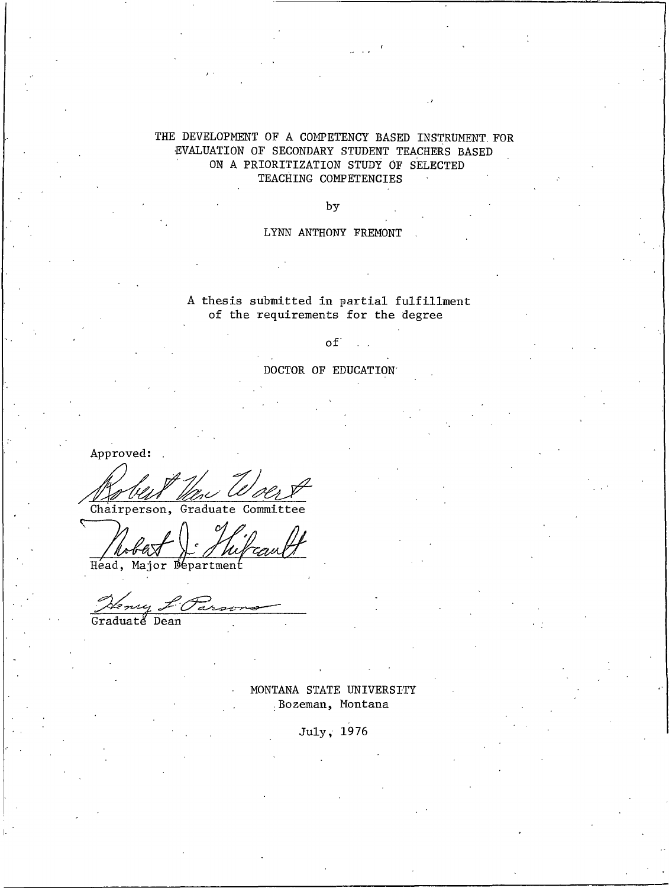#### THE DEVELOPMENT OF A COMPETENCY BASED INSTRUMENT FOR EVALUATION OF SECONDARY STUDENT TEACHERS BASED ON A PRIORITIZATION STUDY OF SELECTED TEACHING COMPETENCIES

by

#### LYNN ANTHONY FREMONT

#### A thesis submitted in partial fulfillment of the requirements for the degree

#### $\mathsf{of}^{\text{-}}$

DOCTOR OF EDUCATION

Approved:

m Woert Chairperson, Graduate Committee

ᠵ Head, Major Department

ny L'Par

Graduaté Dean

MONTANA STATE UNIVERSITY Bozeman, Montana

July, 1976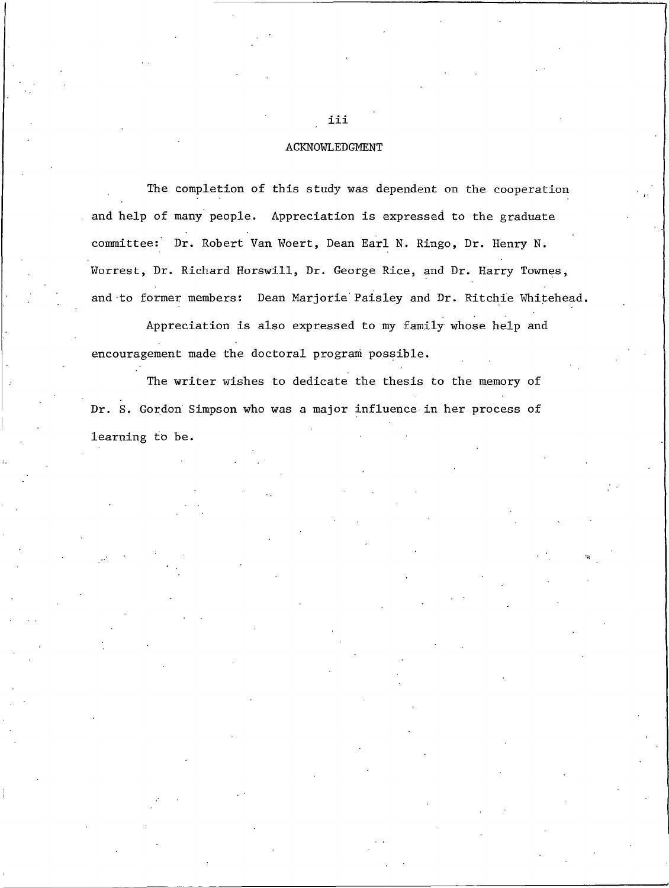#### **ACKNOWLEDGMENT**

The completion of this study was dependent on the cooperation and help of many people. Appreciation is expressed to the graduate committee: Dr. Robert Van Woert, Dean Earl N. Ringo, Dr. Henry N. Worrest, Dr. Richard Horswill, Dr. George Rice, and Dr. Harry Townes, and to former members: Dean Marjorie Paisley and Dr. Ritchie Whitehead.

Appreciation is also expressed to my family whose help and encouragement made the doctoral program possible.

The writer wishes to dedicate the thesis to the memory of Dr. S. Gordon Simpson who was a major influence in her process of learning to be.

iii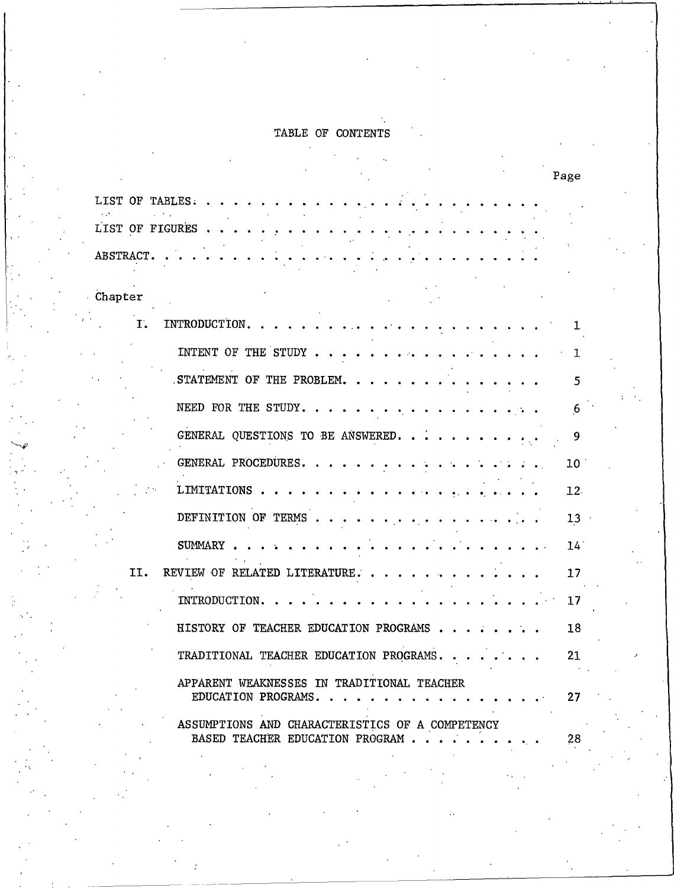# TABLE OF CONTENTS

 $\overline{a}$ 

|                 |                                                                                     | Page            |
|-----------------|-------------------------------------------------------------------------------------|-----------------|
| LIST OF TABLES. |                                                                                     |                 |
| LIST OF FIGURES |                                                                                     |                 |
| ABSTRACT.       |                                                                                     |                 |
| Chapter         |                                                                                     |                 |
| Ι.              | INTRODUCTION.                                                                       | 1               |
|                 | INTENT OF THE STUDY,                                                                | ı               |
|                 | STATEMENT OF THE PROBLEM.                                                           | 5               |
|                 | NEED FOR THE STUDY. .                                                               | 6               |
|                 | GENERAL QUESTIONS TO BE ANSWERED. .                                                 | 9               |
|                 | GENERAL PROCEDURES.                                                                 | 10 <sup>1</sup> |
|                 | LIMITATIONS                                                                         | 12.             |
|                 | DEFINITION OF TERMS.                                                                | 13              |
|                 | <b>SUMMARY</b>                                                                      | $14^{\circ}$    |
| II.             | REVIEW OF RELATED LITERATURE.                                                       | 17              |
|                 | INTRODUCTION.                                                                       | 17              |
|                 | HISTORY OF TEACHER EDUCATION PROGRAMS                                               | 18              |
|                 | TRADITIONAL TEACHER EDUCATION PROGRAMS.                                             | 21              |
|                 | APPARENT WEAKNESSES IN TRADITIONAL TEACHER<br>EDUCATION PROGRAMS.                   | 27              |
|                 | ASSUMPTIONS AND CHARACTERISTICS OF A COMPETENCY<br>BASED TEACHER EDUCATION PROGRAM. | 28              |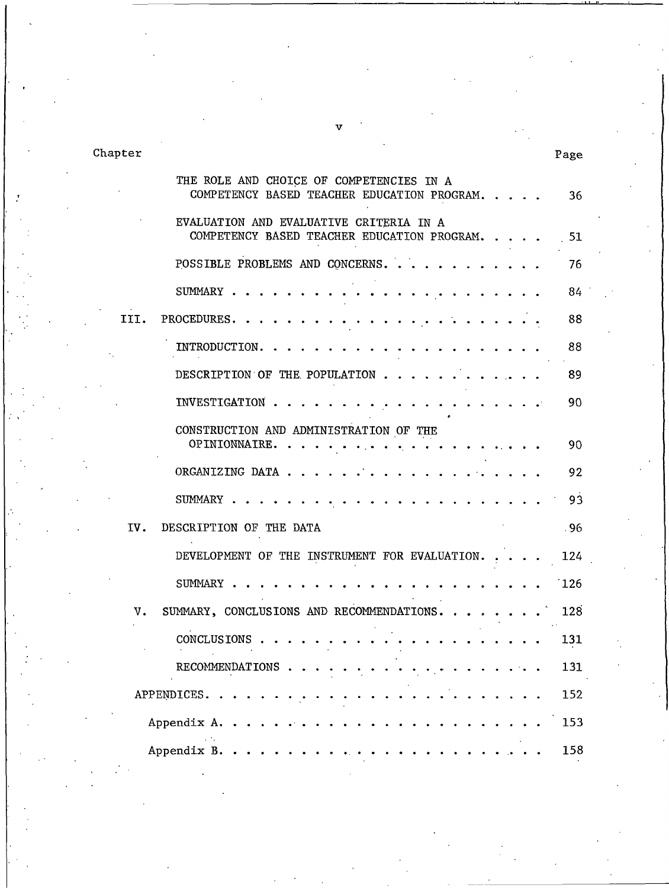Chapter

|      | THE ROLE AND CHOICE OF COMPETENCIES IN A<br>COMPETENCY BASED TEACHER EDUCATION PROGRAM | 36    |
|------|----------------------------------------------------------------------------------------|-------|
|      | EVALUATION AND EVALUATIVE CRITERIA IN A<br>COMPETENCY BASED TEACHER EDUCATION PROGRAM. | 51    |
|      | POSSIBLE PROBLEMS AND CONCERNS.                                                        | 76    |
|      | SUMMARY                                                                                | 84    |
| III. | PROCEDURES.                                                                            | 88    |
|      | <b>INTRODUCTION.</b>                                                                   | 88    |
|      | DESCRIPTION OF THE POPULATION                                                          | 89    |
|      | INVESTIGATION.                                                                         | 90    |
|      | CONSTRUCTION AND ADMINISTRATION OF THE<br>OPINIONNAIRE.                                | 90    |
|      | ORGANIZING DATA.                                                                       | 92    |
|      | SUMMARY .                                                                              | 93    |
| IV.  | DESCRIPTION OF THE DATA                                                                | . 96. |
|      | DEVELOPMENT OF THE INSTRUMENT FOR EVALUATION.                                          | 124   |
|      | <b>SUMMARY</b>                                                                         | 126   |
| V.   | SUMMARY, CONCLUSIONS AND RECOMMENDATIONS                                               | 128   |
|      | CONCLUSIONS.                                                                           | 131   |
|      | RECOMMENDATIONS                                                                        | 131   |
|      | APPENDICES.                                                                            | 152   |
|      | Appendix A.                                                                            | 153   |
|      | Appendix B.                                                                            | 158   |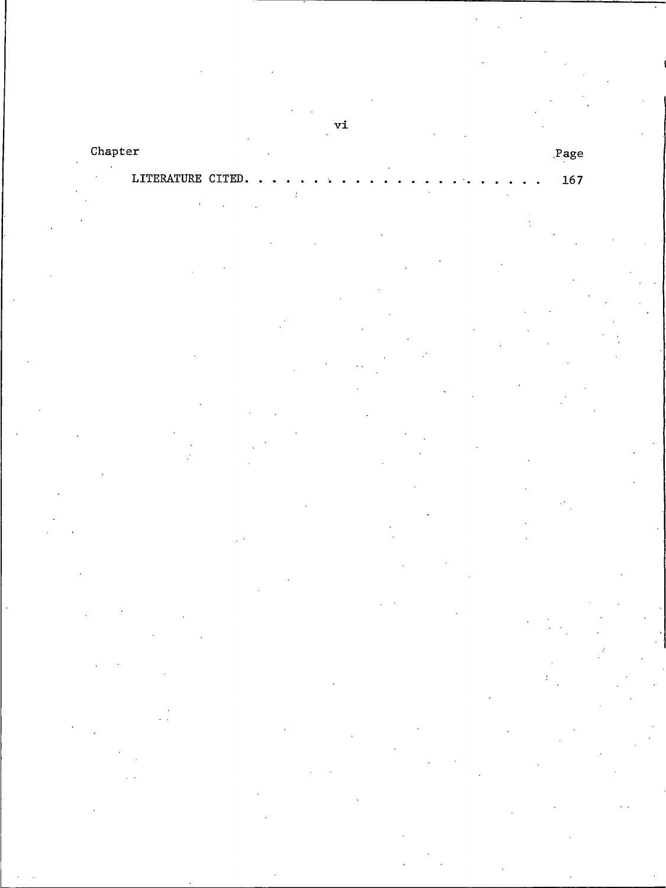# Chapter

# LITERATURE CITED.

 $_{\rm Page}$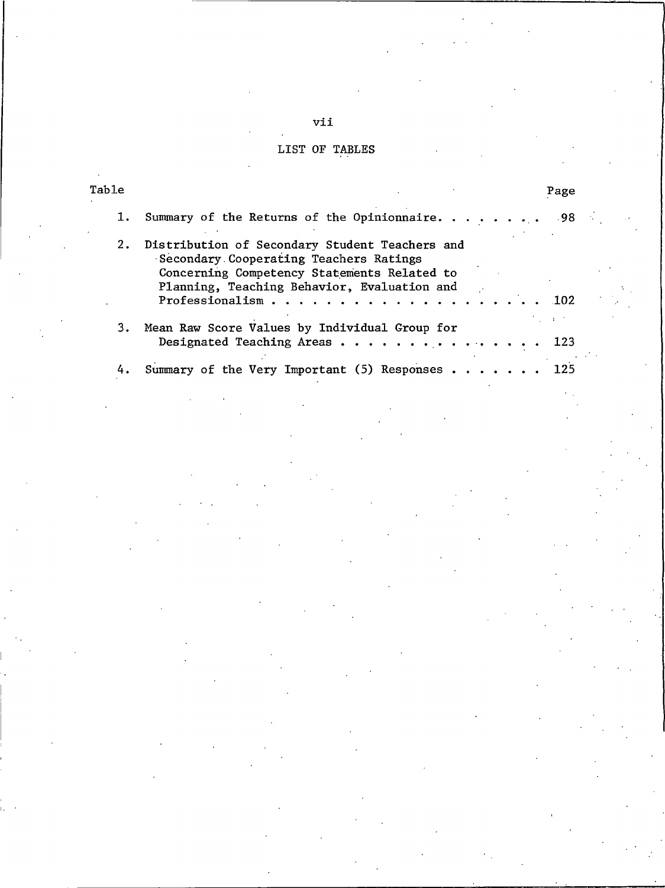# LIST OF TABLES

| Table | Page                                                                                                                                                                                                                                                                                   |  |
|-------|----------------------------------------------------------------------------------------------------------------------------------------------------------------------------------------------------------------------------------------------------------------------------------------|--|
| ı.    | Summary of the Returns of the Opinionnaire. $\dots$<br>.98                                                                                                                                                                                                                             |  |
| 2.    | Distribution of Secondary Student Teachers and<br>Secondary Cooperating Teachers Ratings<br>Concerning Competency Statements Related to<br>Planning, Teaching Behavior, Evaluation and<br>Professionalism $\cdots$ $\cdots$ $\cdots$ $\cdots$ $\cdots$ $\cdots$ $\cdots$<br><b>102</b> |  |
| 3.    | Mean Raw Score Values by Individual Group for<br>Designated Teaching Areas<br>123                                                                                                                                                                                                      |  |
| 4.    | Summary of the Very Important (5) Responses 125                                                                                                                                                                                                                                        |  |

vii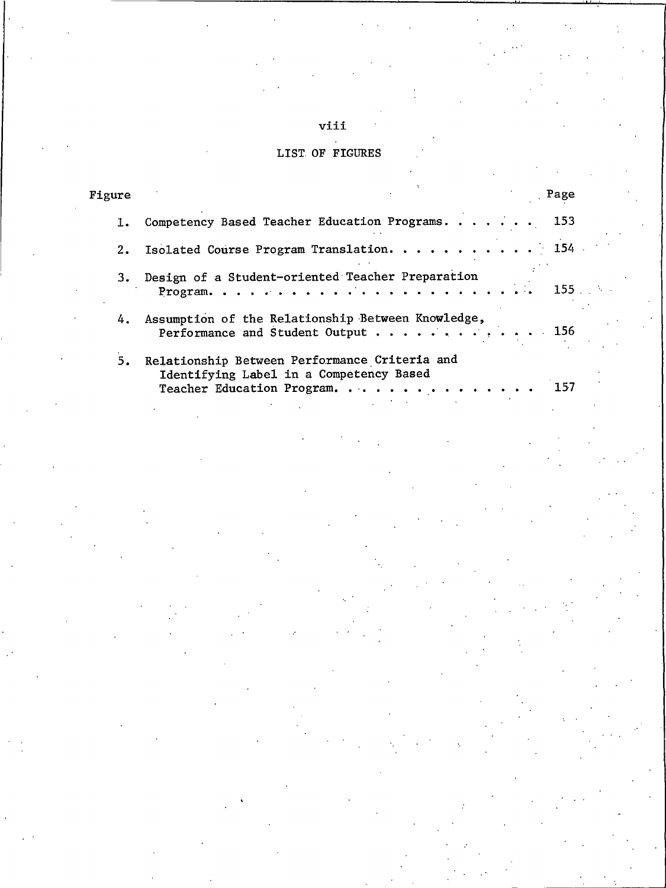# viii

| <b>LIST OF FIGURES</b> |  |  |  |  |  |  |
|------------------------|--|--|--|--|--|--|
|------------------------|--|--|--|--|--|--|

| Figure | Page                                                                                                                       |
|--------|----------------------------------------------------------------------------------------------------------------------------|
|        | Competency Based Teacher Education Programs. 153                                                                           |
|        | 2. Isolated Course Program Translation. 154                                                                                |
|        | 3. Design of a Student-oriented Teacher Preparation<br>$155$ .                                                             |
|        | 4. Assumption of the Relationship Between Knowledge,<br>Performance and Student Output 156                                 |
| 5.     | Relationship Between Performance Criteria and<br>Identifying Label in a Competency Based<br>Teacher Education Program. 157 |
|        |                                                                                                                            |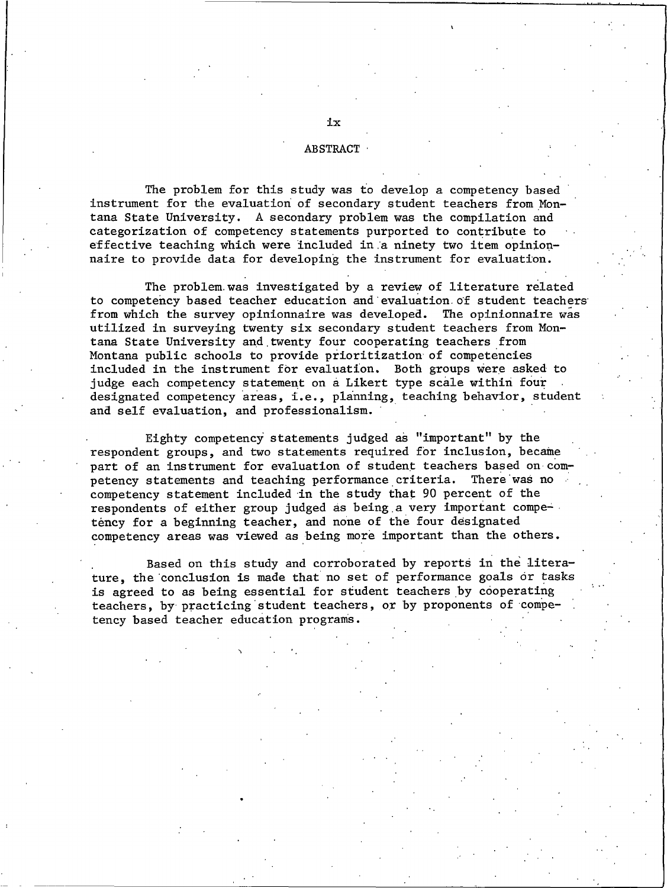#### **ABSTRACT**

The problem for this study was to develop a competency based instrument for the evaluation of secondary student teachers from Montana State University. A secondary problem was the compilation and categorization of competency statements purported to contribute to effective teaching which were included in a ninety two item opinionnaire to provide data for developing the instrument for evaluation.

The problem was investigated by a review of literature related to competency based teacher education and evaluation of student teachers from which the survey opinionnaire was developed. The opinionnaire was utilized in surveying twenty six secondary student teachers from Montana State University and twenty four cooperating teachers from Montana public schools to provide prioritization of competencies included in the instrument for evaluation. Both groups were asked to judge each competency statement on a Likert type scale within four designated competency areas, i.e., planning, teaching behavior, student and self evaluation, and professionalism.

Eighty competency statements judged as "important" by the respondent groups, and two statements required for inclusion, became part of an instrument for evaluation of student teachers based on competency statements and teaching performance criteria. There was no competency statement included in the study that 90 percent of the respondents of either group judged as being a very important competency for a beginning teacher, and none of the four designated competency areas was viewed as being more important than the others.

Based on this study and corroborated by reports in the literature, the conclusion is made that no set of performance goals or tasks is agreed to as being essential for student teachers by cooperating teachers, by practicing student teachers, or by proponents of competency based teacher education programs.

ix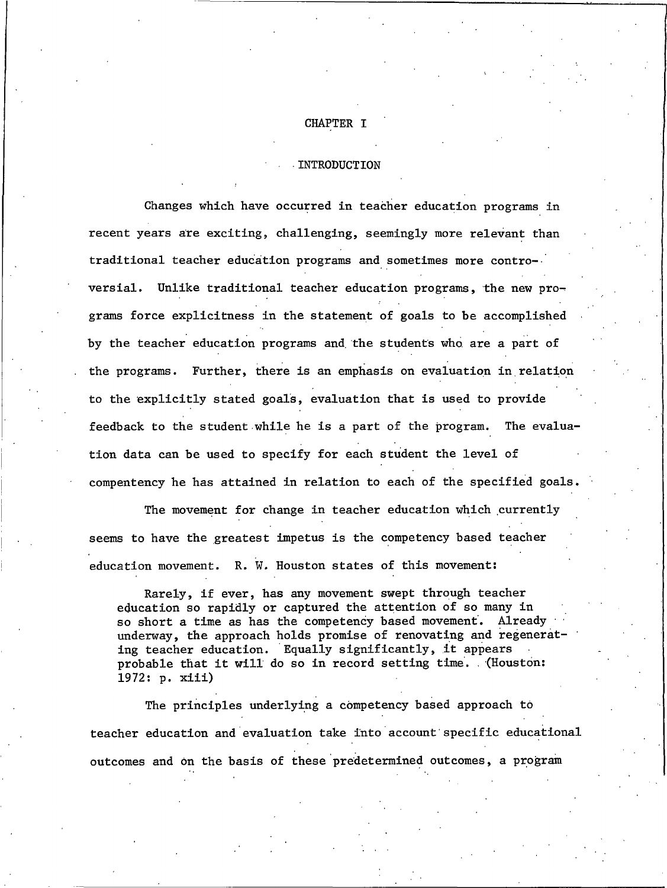#### CHAPTER I

#### INTRODUCTION

Changes which have occurred in teacher education programs in recent years are exciting, challenging, seemingly more relevant than traditional teacher education programs and sometimes more controversial. Unlike traditional teacher education programs, the new programs force explicitness in the statement of goals to be accomplished by the teacher education programs and the students who are a part of the programs. Further, there is an emphasis on evaluation in relation to the explicitly stated goals, evaluation that is used to provide feedback to the student while he is a part of the program. The evaluation data can be used to specify for each student the level of compentency he has attained in relation to each of the specified goals.

The movement for change in teacher education which currently seems to have the greatest impetus is the competency based teacher education movement. R. W. Houston states of this movement:

Rarely, if ever, has any movement swept through teacher education so rapidly or captured the attention of so many in so short a time as has the competency based movement. Already underway, the approach holds promise of renovating and regenerating teacher education. Equally significantly, it appears probable that it will do so in record setting time. (Houston: 1972: p. xiii)

The principles underlying a competency based approach to teacher education and evaluation take into account specific educational outcomes and on the basis of these predetermined outcomes, a program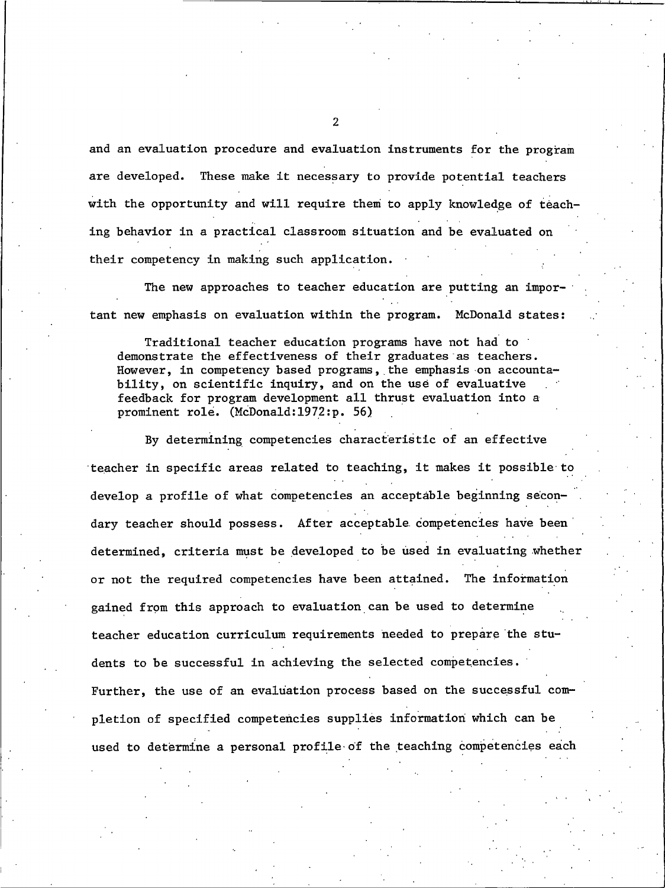and an evaluation procedure and evaluation instruments for the program are developed. These make it necessary to provide potential teachers with the opportunity and will require them to apply knowledge of teaching behavior in a practical classroom situation and be evaluated on their competency in making such application.

The new approaches to teacher education are putting an important new emphasis on evaluation within the program. McDonald states:

Traditional teacher education programs have not had to demonstrate the effectiveness of their graduates as teachers. However, in competency based programs, the emphasis on accountability, on scientific inquiry, and on the use of evaluative feedback for program development all thrust evaluation into a prominent role. (McDonald:1972:p. 56)

By determining competencies characteristic of an effective teacher in specific areas related to teaching, it makes it possible to develop a profile of what competencies an acceptable beginning secondary teacher should possess. After acceptable competencies have been determined, criteria must be developed to be used in evaluating whether or not the required competencies have been attained. The information gained from this approach to evaluation can be used to determine teacher education curriculum requirements needed to prepare the students to be successful in achieving the selected competencies. Further, the use of an evaluation process based on the successful completion of specified competencies supplies information which can be used to determine a personal profile of the teaching competencies each

 $\overline{2}$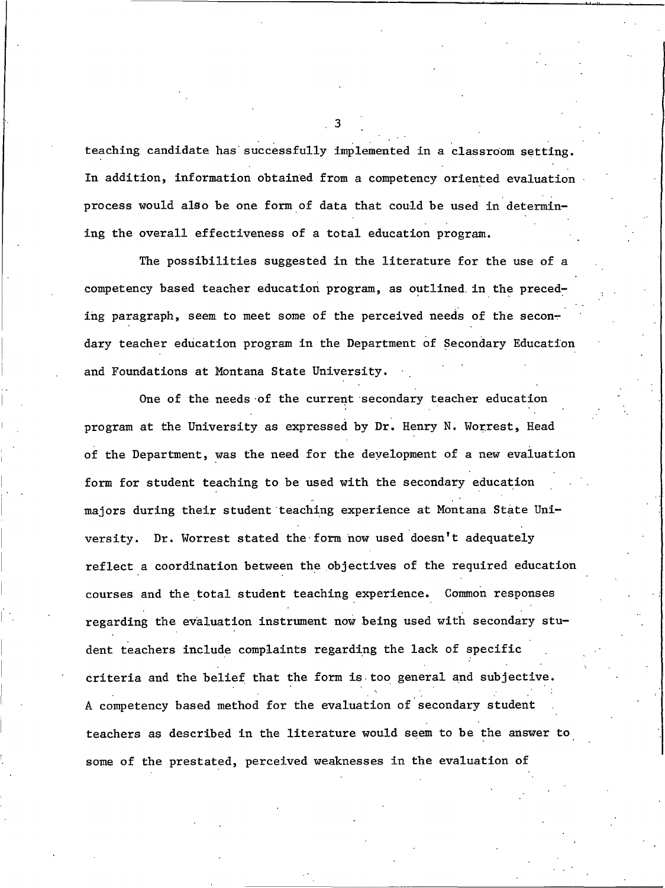teaching candidate has successfully implemented in a classroom setting. In addition, information obtained from a competency oriented evaluation process would also be one form of data that could be used in determining the overall effectiveness of a total education program.

The possibilities suggested in the literature for the use of a competency based teacher education program, as outlined in the preceding paragraph, seem to meet some of the perceived needs of the secondary teacher education program in the Department of Secondary Education and Foundations at Montana State University.

One of the needs of the current secondary teacher education program at the University as expressed by Dr. Henry N. Worrest, Head of the Department, was the need for the development of a new evaluation form for student teaching to be used with the secondary education majors during their student teaching experience at Montana State University. Dr. Worrest stated the form now used doesn't adequately reflect a coordination between the objectives of the required education courses and the total student teaching experience. Common responses regarding the evaluation instrument now being used with secondary student teachers include complaints regarding the lack of specific criteria and the belief that the form is too general and subjective. A competency based method for the evaluation of secondary student teachers as described in the literature would seem to be the answer to some of the prestated, perceived weaknesses in the evaluation of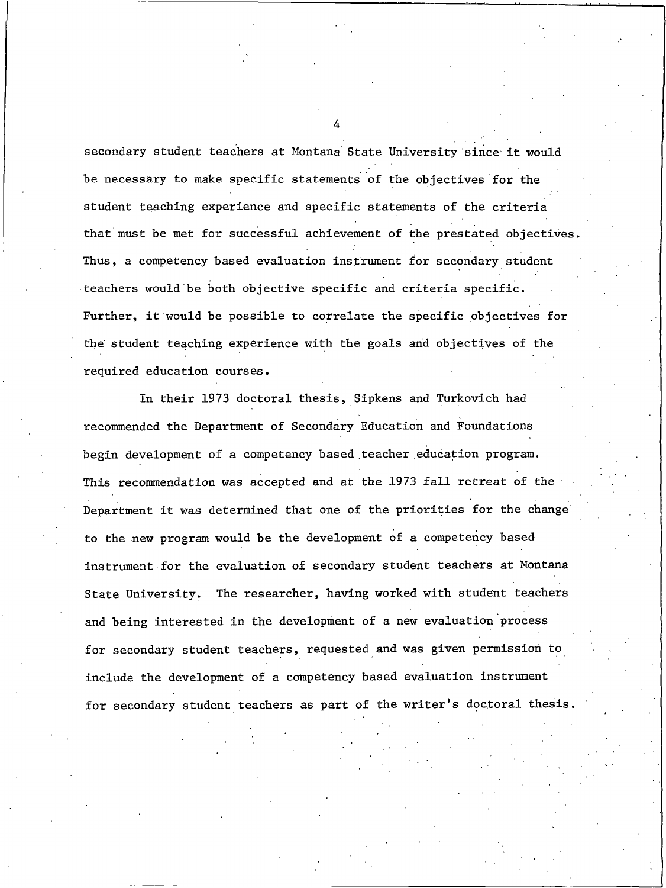secondary student teachers at Montana State University since it would be necessary to make specific statements of the objectives for the student teaching experience and specific statements of the criteria that must be met for successful achievement of the prestated objectives. Thus, a competency based evaluation instrument for secondary student teachers would be both objective specific and criteria specific. Further, it would be possible to correlate the specific objectives for the student teaching experience with the goals and objectives of the required education courses.

In their 1973 doctoral thesis, Sipkens and Turkovich had recommended the Department of Secondary Education and Foundations begin development of a competency based teacher education program. This recommendation was accepted and at the 1973 fall retreat of the Department it was determined that one of the priorities for the change to the new program would be the development of a competency based instrument for the evaluation of secondary student teachers at Montana State University. The researcher, having worked with student teachers and being interested in the development of a new evaluation process for secondary student teachers, requested and was given permission to include the development of a competency based evaluation instrument for secondary student teachers as part of the writer's doctoral thesis.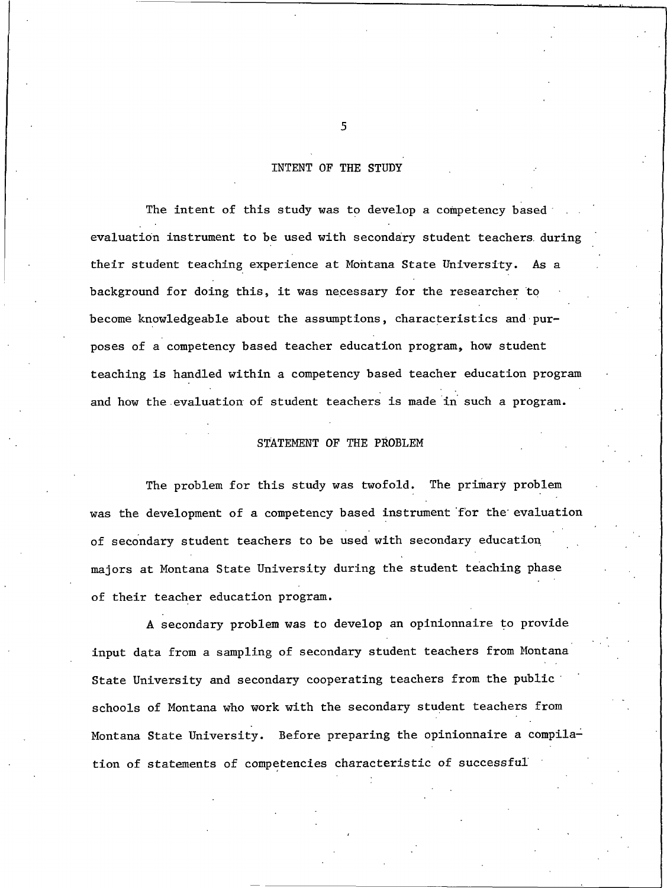#### INTENT OF THE STUDY

The intent of this study was to develop a competency based evaluation instrument to be used with secondary student teachers during their student teaching experience at Montana State University. As a background for doing this, it was necessary for the researcher to become knowledgeable about the assumptions, characteristics and purposes of a competency based teacher education program, how student teaching is handled within a competency based teacher education program and how the evaluation of student teachers is made in such a program.

#### STATEMENT OF THE PROBLEM

The problem for this study was twofold. The primary problem was the development of a competency based instrument for the evaluation of secondary student teachers to be used with secondary education majors at Montana State University during the student teaching phase of their teacher education program.

A secondary problem was to develop an opinionnaire to provide input data from a sampling of secondary student teachers from Montana State University and secondary cooperating teachers from the public schools of Montana who work with the secondary student teachers from Montana State University. Before preparing the opinionnaire a compilation of statements of competencies characteristic of successful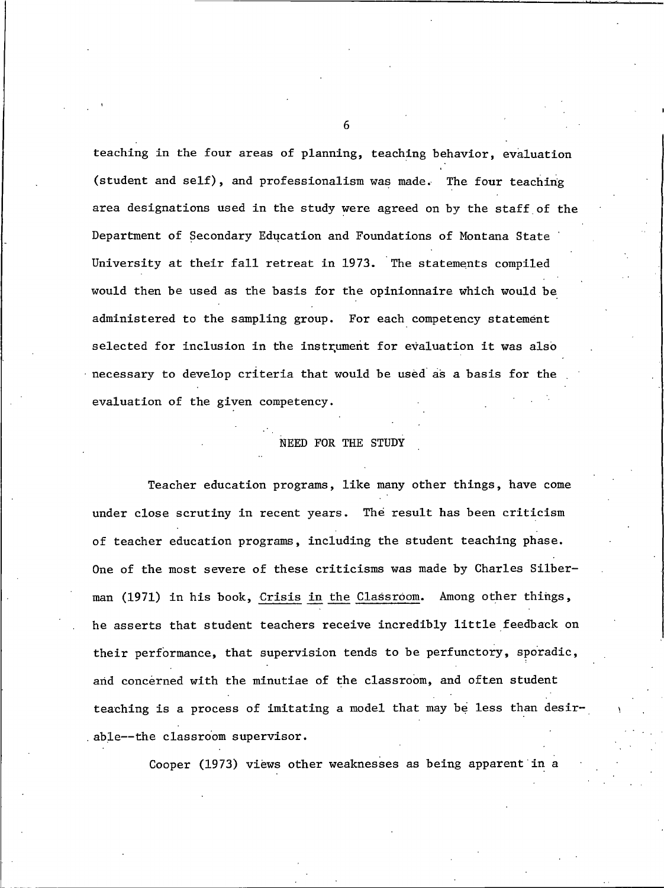teaching in the four areas of planning, teaching behavior, evaluation (student and self), and professionalism was made. The four teaching area designations used in the study were agreed on by the staff of the Department of Secondary Education and Foundations of Montana State University at their fall retreat in 1973. The statements compiled would then be used as the basis for the opinionnaire which would be administered to the sampling group. For each competency statement selected for inclusion in the instrument for evaluation it was also necessary to develop criteria that would be used as a basis for the evaluation of the given competency.

#### NEED FOR THE STUDY

Teacher education programs, like many other things, have come under close scrutiny in recent years. The result has been criticism of teacher education programs, including the student teaching phase. One of the most severe of these criticisms was made by Charles Silberman (1971) in his book, Crisis in the Classroom. Among other things, he asserts that student teachers receive incredibly little feedback on their performance, that supervision tends to be perfunctory, sporadic, and concerned with the minutiae of the classroom, and often student teaching is a process of imitating a model that may be less than desirable--the classroom supervisor.

Cooper (1973) views other weaknesses as being apparent in a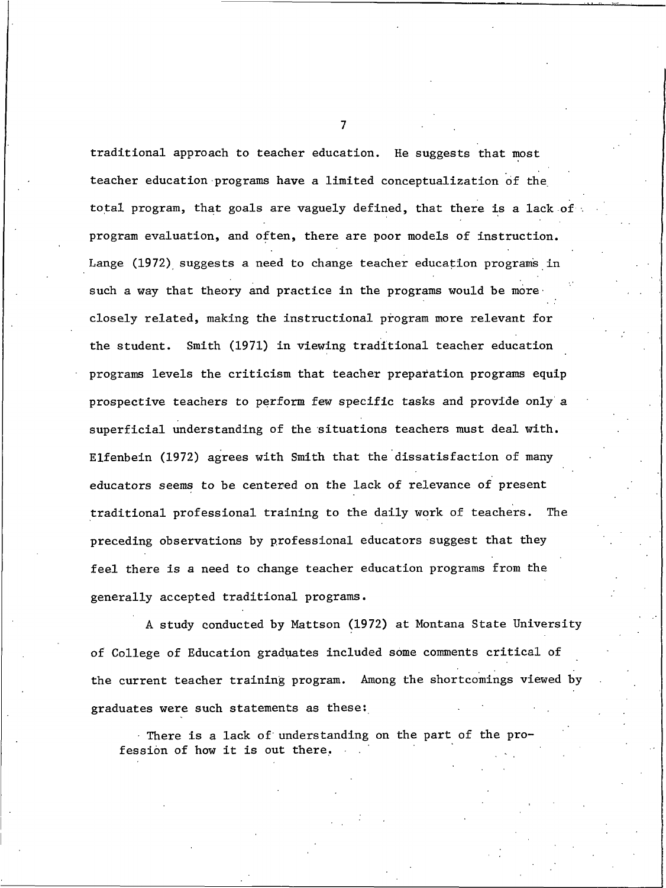traditional approach to teacher education. He suggests that most teacher education programs have a limited conceptualization of the total program, that goals are vaguely defined, that there is a lack of program evaluation, and often, there are poor models of instruction. Lange (1972) suggests a need to change teacher education programs in such a way that theory and practice in the programs would be more closely related, making the instructional program more relevant for the student. Smith (1971) in viewing traditional teacher education programs levels the criticism that teacher preparation programs equip prospective teachers to perform few specific tasks and provide only a superficial understanding of the situations teachers must deal with. Elfenbein (1972) agrees with Smith that the dissatisfaction of many educators seems to be centered on the lack of relevance of present traditional professional training to the daily work of teachers. The preceding observations by professional educators suggest that they feel there is a need to change teacher education programs from the generally accepted traditional programs.

A study conducted by Mattson (1972) at Montana State University of College of Education graduates included some comments critical of the current teacher training program. Among the shortcomings viewed by graduates were such statements as these:

There is a lack of understanding on the part of the profession of how it is out there.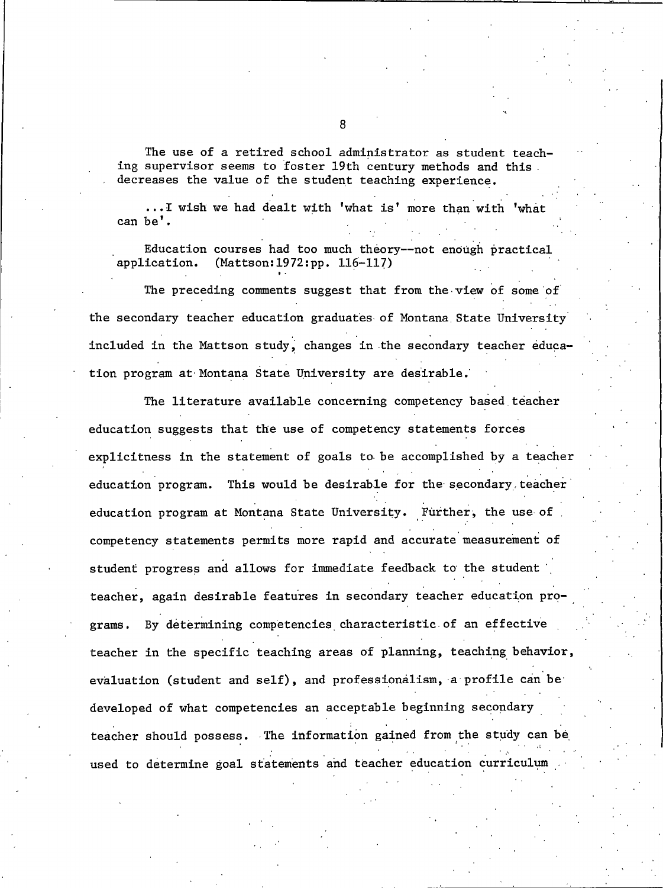The use of a retired school administrator as student teaching supervisor seems to foster 19th century methods and this decreases the value of the student teaching experience.

... I wish we had dealt with 'what is' more than with 'what can be'.

Education courses had too much theory--not enough practical application. (Mattson: 1972: pp. 116-117)

The preceding comments suggest that from the view of some of the secondary teacher education graduates of Montana State University included in the Mattson study, changes in the secondary teacher education program at Montana State University are desirable.

The literature available concerning competency based teacher education suggests that the use of competency statements forces explicitness in the statement of goals to be accomplished by a teacher This would be desirable for the secondary teacher education program. education program at Montana State University. Further, the use of competency statements permits more rapid and accurate measurement of student progress and allows for immediate feedback to the student teacher, again desirable features in secondary teacher education programs. By determining competencies characteristic of an effective teacher in the specific teaching areas of planning, teaching behavior, evaluation (student and self), and professionalism, a profile can be developed of what competencies an acceptable beginning secondary teacher should possess. The information gained from the study can be used to determine goal statements and teacher education curriculum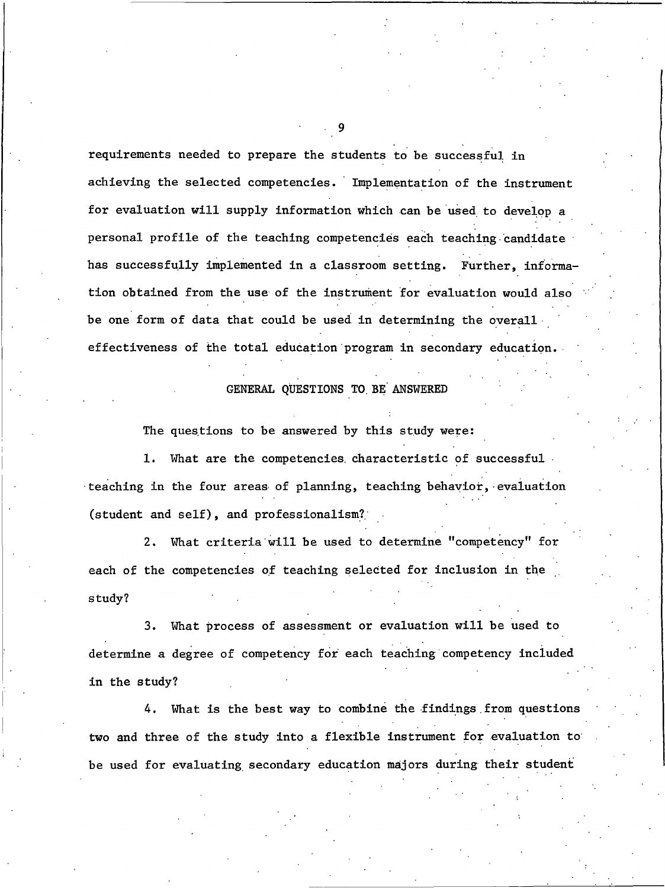requirements needed to prepare the students to be successful in achieving the selected competencies. Implementation of the instrument for evaluation will supply information which can be used to develop a personal profile of the teaching competencies each teaching candidate has successfully implemented in a classroom setting. Further, information obtained from the use of the instrument for evaluation would also be one form of data that could be used in determining the overall effectiveness of the total education program in secondary education.

#### GENERAL QUESTIONS TO BE ANSWERED

The questions to be answered by this study were:

1. What are the competencies characteristic of successful. teaching in the four areas of planning, teaching behavior, evaluation (student and self), and professionalism?

What criteria will be used to determine "competency" for  $2.$ each of the competencies of teaching selected for inclusion in the study?

What process of assessment or evaluation will be used to 3. determine a degree of competency for each teaching competency included in the study?

4. What is the best way to combine the findings from questions two and three of the study into a flexible instrument for evaluation to be used for evaluating secondary education majors during their student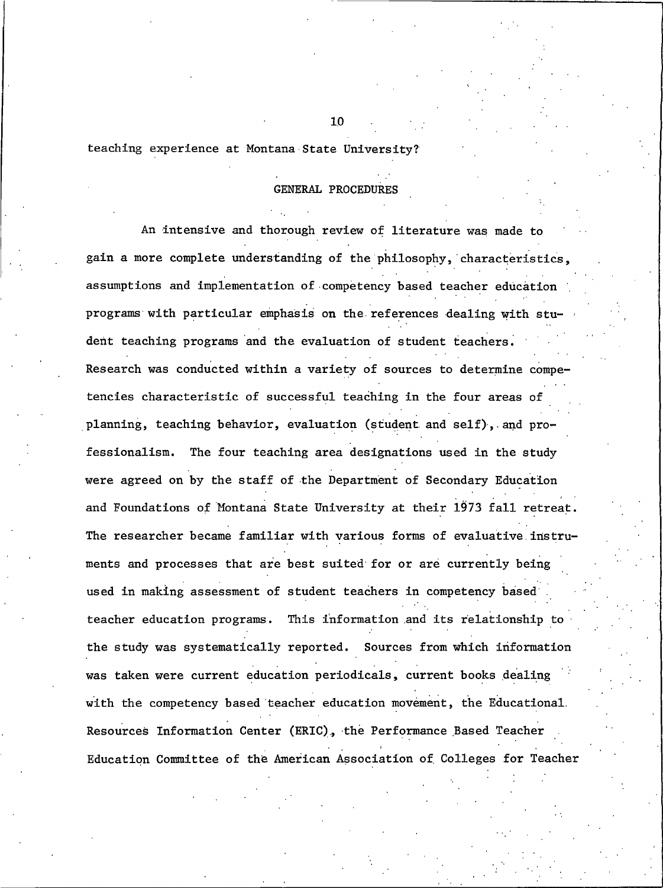teaching experience at Montana State University?

#### **GENERAL PROCEDURES**

An intensive and thorough review of literature was made to gain a more complete understanding of the philosophy, characteristics, assumptions and implementation of competency based teacher education programs with particular emphasis on the references dealing with student teaching programs and the evaluation of student teachers. Research was conducted within a variety of sources to determine competencies characteristic of successful teaching in the four areas of planning, teaching behavior, evaluation (student and self), and professionalism. The four teaching area designations used in the study were agreed on by the staff of the Department of Secondary Education and Foundations of Montana State University at their 1973 fall retreat. The researcher became familiar with various forms of evaluative instruments and processes that are best suited for or are currently being used in making assessment of student teachers in competency based teacher education programs. This information and its relationship to the study was systematically reported. Sources from which information was taken were current education periodicals, current books dealing with the competency based teacher education movement, the Educational. Resources Information Center (ERIC), the Performance Based Teacher Education Committee of the American Association of Colleges for Teacher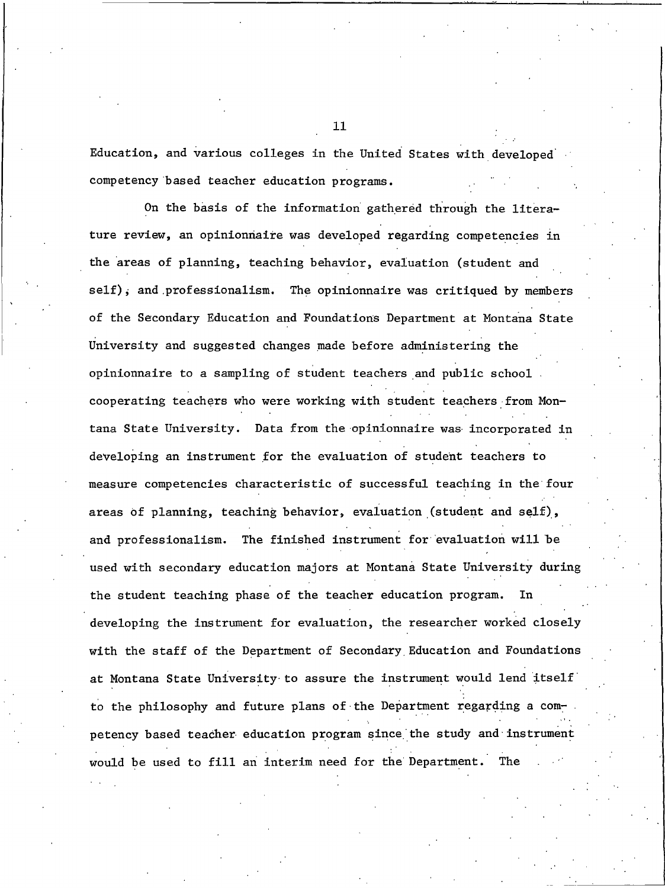Education, and various colleges in the United States with developed competency based teacher education programs.

On the basis of the information gathered through the literature review, an opinionnaire was developed regarding competencies in the areas of planning, teaching behavior, evaluation (student and self), and professionalism. The opinionnaire was critiqued by members of the Secondary Education and Foundations Department at Montana State University and suggested changes made before administering the opinionnaire to a sampling of student teachers and public school. cooperating teachers who were working with student teachers from Montana State University. Data from the opinionnaire was incorporated in developing an instrument for the evaluation of student teachers to measure competencies characteristic of successful teaching in the four areas of planning, teaching behavior, evaluation (student and self), and professionalism. The finished instrument for evaluation will be used with secondary education majors at Montana State University during the student teaching phase of the teacher education program. developing the instrument for evaluation, the researcher worked closely with the staff of the Department of Secondary Education and Foundations at Montana State University to assure the instrument would lend itself to the philosophy and future plans of the Department regarding a competency based teacher education program since the study and instrument would be used to fill an interim need for the Department. The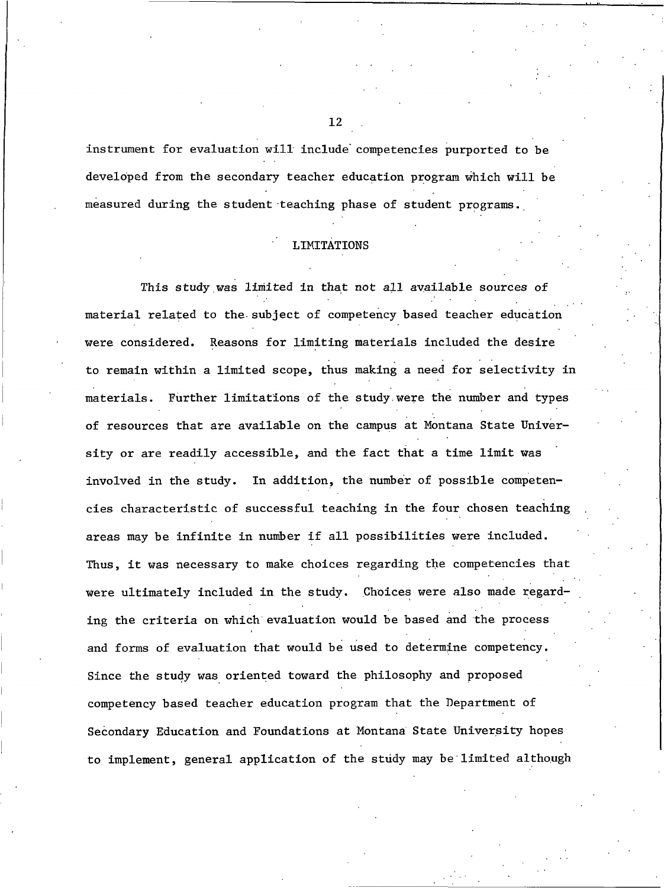instrument for evaluation will include competencies purported to be developed from the secondary teacher education program which will be measured during the student teaching phase of student programs.

#### **LIMITATIONS**

This study was limited in that not all available sources of material related to the subject of competency based teacher education were considered. Reasons for limiting materials included the desire to remain within a limited scope, thus making a need for selectivity in materials. Further limitations of the study were the number and types of resources that are available on the campus at Montana State University or are readily accessible, and the fact that a time limit was In addition, the number of possible competeninvolved in the study. cies characteristic of successful teaching in the four chosen teaching areas may be infinite in number if all possibilities were included. Thus, it was necessary to make choices regarding the competencies that were ultimately included in the study. Choices were also made regarding the criteria on which evaluation would be based and the process and forms of evaluation that would be used to determine competency. Since the study was oriented toward the philosophy and proposed competency based teacher education program that the Department of Secondary Education and Foundations at Montana State University hopes to implement, general application of the study may be limited although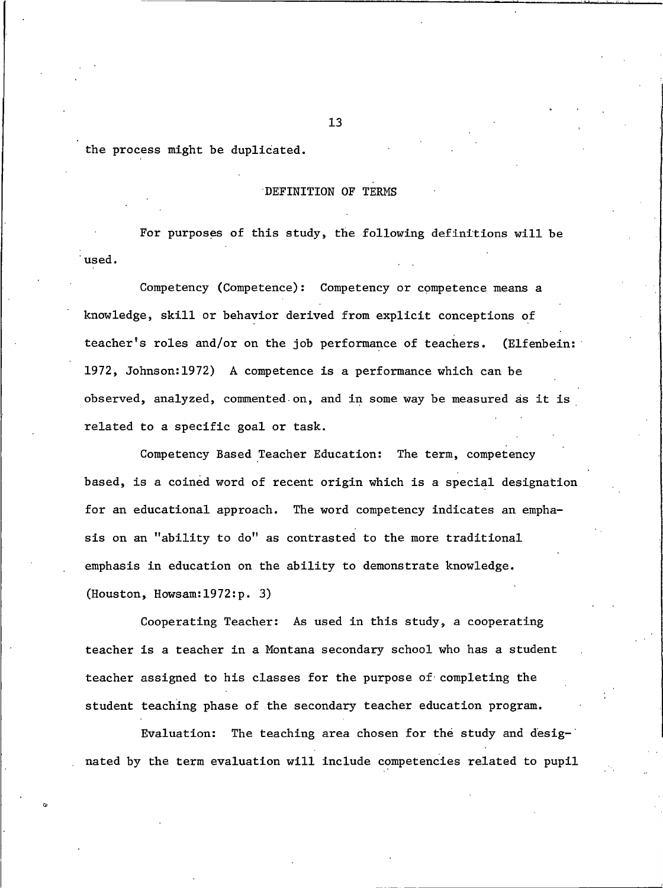the process might be duplicated.

#### DEFINITION OF TERMS

For purposes of this study, the following definitions will be used.

Competency (Competence): Competency or competence means a knowledge, skill or behavior derived from explicit conceptions of teacher's roles and/or on the job performance of teachers. (Elfenbein: 1972, Johnson: 1972) A competence is a performance which can be observed, analyzed, commented on, and in some way be measured as it is related to a specific goal or task.

Competency Based Teacher Education: The term, competency based, is a coined word of recent origin which is a special designation for an educational approach. The word competency indicates an emphasis on an "ability to do" as contrasted to the more traditional emphasis in education on the ability to demonstrate knowledge. (Houston, Howsam:  $1972:p.$  3)

Cooperating Teacher: As used in this study, a cooperating teacher is a teacher in a Montana secondary school who has a student teacher assigned to his classes for the purpose of completing the student teaching phase of the secondary teacher education program.

Evaluation: The teaching area chosen for the study and designated by the term evaluation will include competencies related to pupil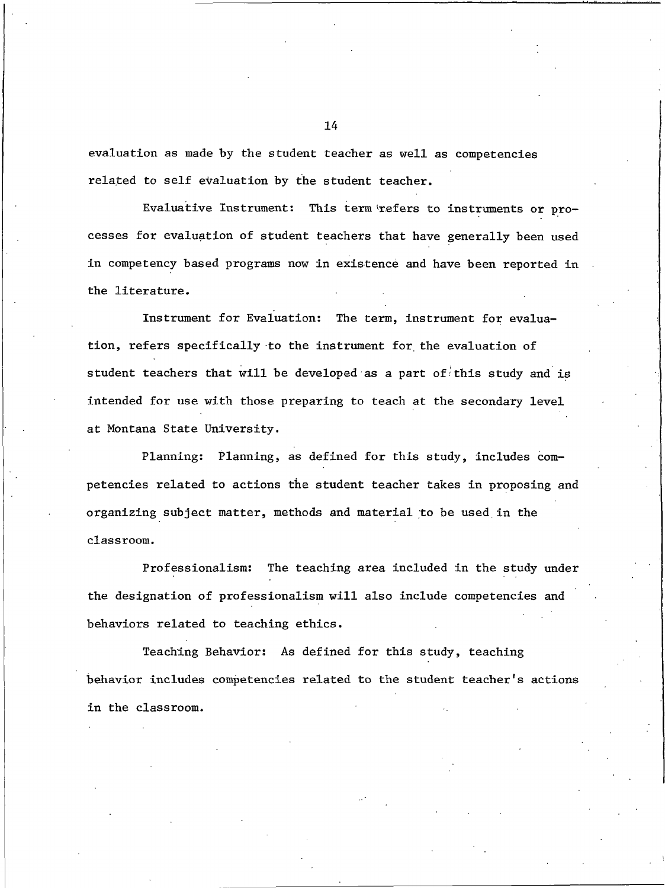evaluation as made by the student teacher as well as competencies related to self evaluation by the student teacher.

Evaluative Instrument: This term refers to instruments or processes for evaluation of student teachers that have generally been used in competency based programs now in existence and have been reported in the literature.

Instrument for Evaluation: The term, instrument for evaluation, refers specifically to the instrument for the evaluation of student teachers that will be developed as a part of this study and is intended for use with those preparing to teach at the secondary level at Montana State University.

Planning: Planning, as defined for this study, includes competencies related to actions the student teacher takes in proposing and organizing subject matter, methods and material to be used in the classroom.

The teaching area included in the study under Professionalism: the designation of professionalism will also include competencies and behaviors related to teaching ethics.

Teaching Behavior: As defined for this study, teaching behavior includes competencies related to the student teacher's actions in the classroom.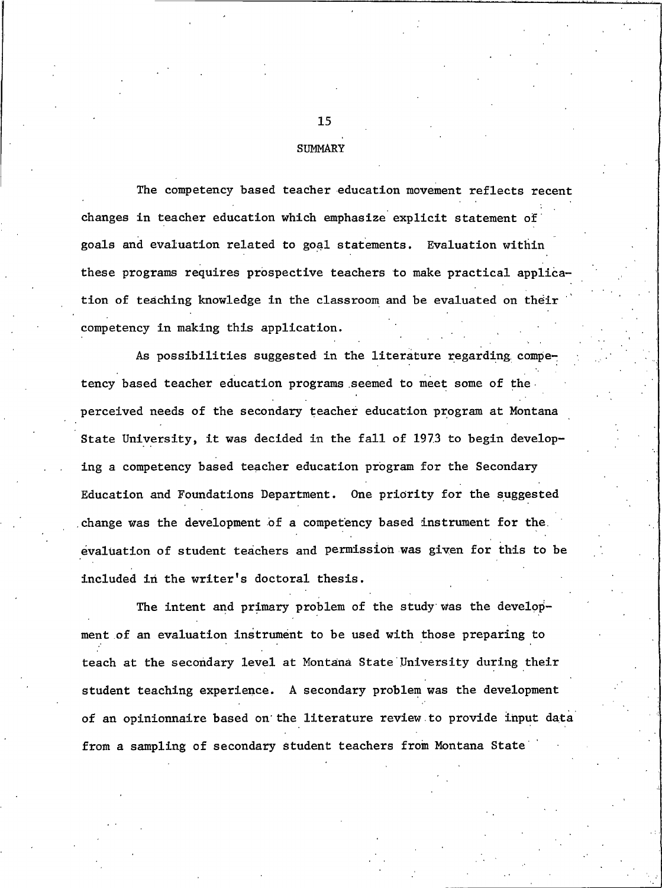#### **SUMMARY**

The competency based teacher education movement reflects recent changes in teacher education which emphasize explicit statement of goals and evaluation related to goal statements. Evaluation within these programs requires prospective teachers to make practical application of teaching knowledge in the classroom and be evaluated on their competency in making this application.

As possibilities suggested in the literature regarding competency based teacher education programs seemed to meet some of the perceived needs of the secondary teacher education program at Montana State University, it was decided in the fall of 1973 to begin developing a competency based teacher education program for the Secondary Education and Foundations Department. One priority for the suggested change was the development of a competency based instrument for the evaluation of student teachers and permission was given for this to be included in the writer's doctoral thesis.

The intent and primary problem of the study was the development of an evaluation instrument to be used with those preparing to teach at the secondary level at Montana State University during their student teaching experience. A secondary problem was the development of an opinionnaire based on the literature review to provide input data from a sampling of secondary student teachers from Montana State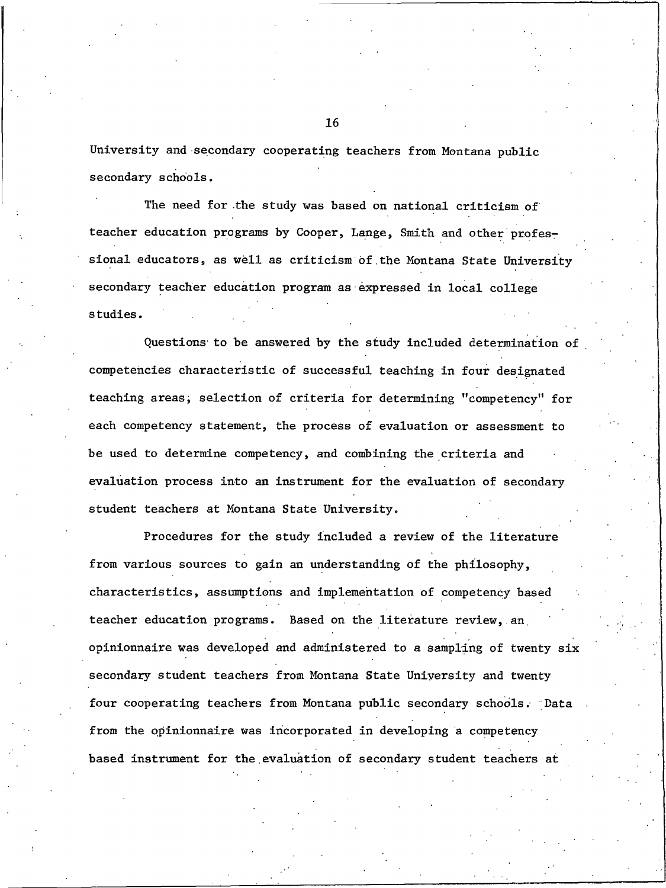University and secondary cooperating teachers from Montana public secondary schools.

The need for the study was based on national criticism of teacher education programs by Cooper, Lange, Smith and other professional educators, as well as criticism of the Montana State University secondary teacher education program as expressed in local college studies.

Questions to be answered by the study included determination of competencies characteristic of successful teaching in four designated teaching areas, selection of criteria for determining "competency" for each competency statement, the process of evaluation or assessment to be used to determine competency, and combining the criteria and evaluation process into an instrument for the evaluation of secondary student teachers at Montana State University.

Procedures for the study included a review of the literature from various sources to gain an understanding of the philosophy, characteristics, assumptions and implementation of competency based teacher education programs. Based on the literature review, an opinionnaire was developed and administered to a sampling of twenty six secondary student teachers from Montana State University and twenty four cooperating teachers from Montana public secondary schools. Data from the opinionnaire was incorporated in developing a competency based instrument for the evaluation of secondary student teachers at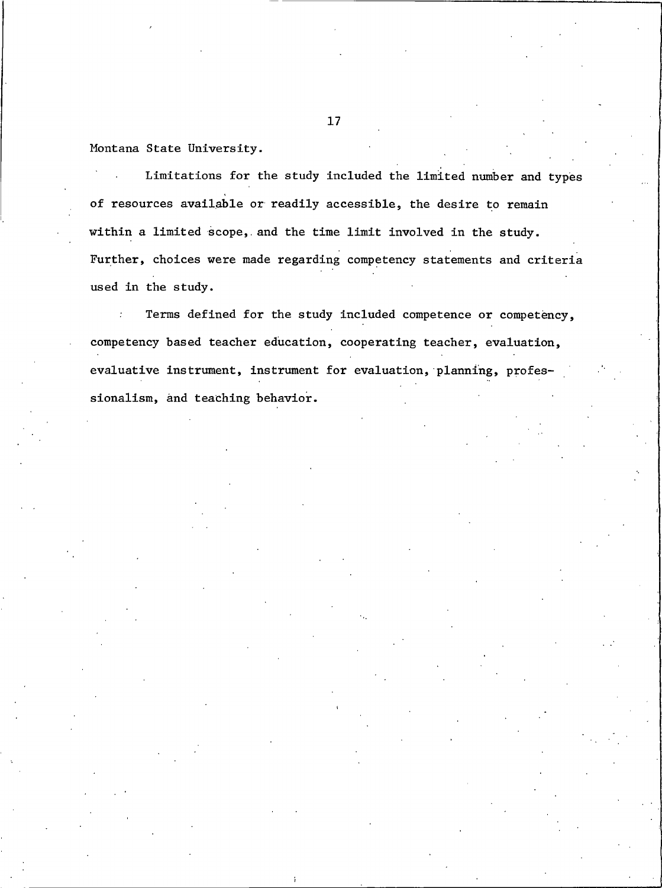Montana State University.

Limitations for the study included the limited number and types of resources available or readily accessible, the desire to remain within a limited scope, and the time limit involved in the study. Further, choices were made regarding competency statements and criteria used in the study.

Terms defined for the study included competence or competency, competency based teacher education, cooperating teacher, evaluation, evaluative instrument, instrument for evaluation, planning, professionalism, and teaching behavior.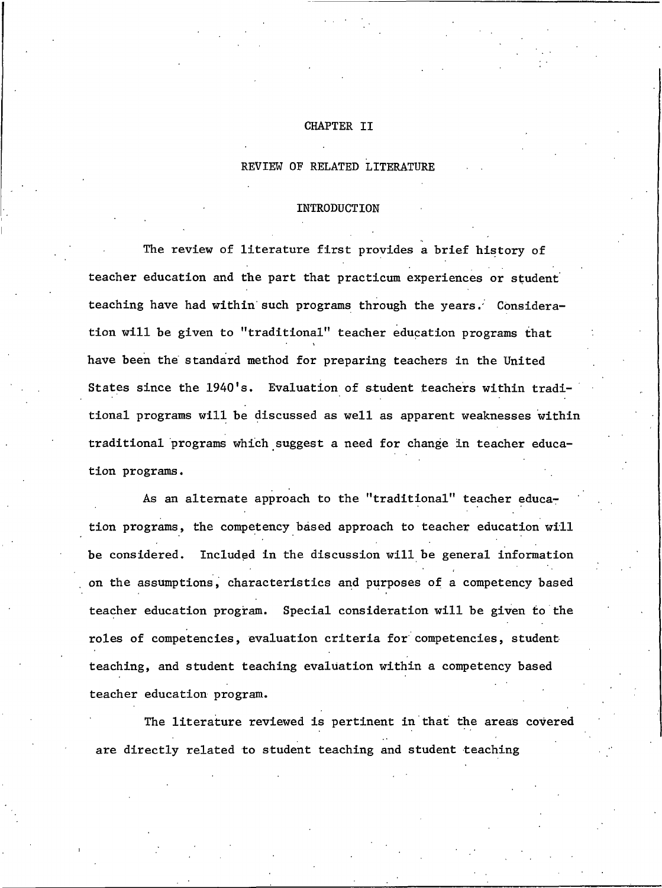#### CHAPTER II

#### REVIEW OF RELATED LITERATURE

#### INTRODUCTION

The review of literature first provides a brief history of teacher education and the part that practicum experiences or student teaching have had within such programs through the years. Consideration will be given to "traditional" teacher education programs that have been the standard method for preparing teachers in the United States since the 1940's. Evaluation of student teachers within traditional programs will be discussed as well as apparent weaknesses within traditional programs which suggest a need for change in teacher education programs.

As an alternate approach to the "traditional" teacher education programs, the competency based approach to teacher education will be considered. Included in the discussion will be general information on the assumptions, characteristics and purposes of a competency based teacher education program. Special consideration will be given to the roles of competencies, evaluation criteria for competencies, student teaching, and student teaching evaluation within a competency based teacher education program.

The literature reviewed is pertinent in that the areas covered are directly related to student teaching and student teaching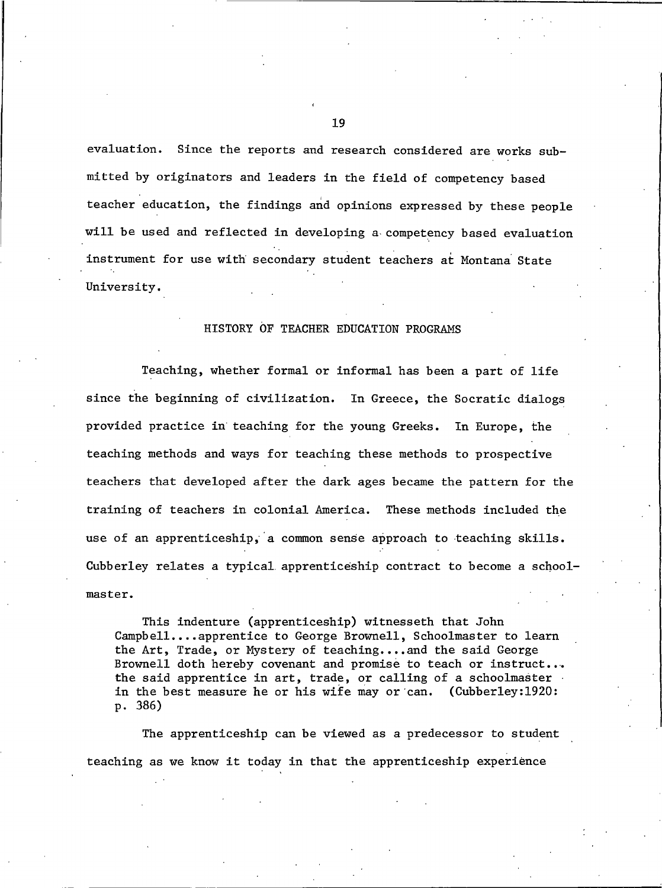evaluation. Since the reports and research considered are works submitted by originators and leaders in the field of competency based teacher education, the findings and opinions expressed by these people will be used and reflected in developing a competency based evaluation instrument for use with secondary student teachers at Montana State University.

#### HISTORY OF TEACHER EDUCATION PROGRAMS

Teaching, whether formal or informal has been a part of life since the beginning of civilization. In Greece, the Socratic dialogs provided practice in teaching for the young Greeks. In Europe, the teaching methods and ways for teaching these methods to prospective teachers that developed after the dark ages became the pattern for the training of teachers in colonial America. These methods included the use of an apprenticeship, a common sense approach to teaching skills. Cubberley relates a typical apprenticeship contract to become a schoolmaster.

This indenture (apprenticeship) witnesseth that John Campbell....apprentice to George Brownell, Schoolmaster to learn the Art, Trade, or Mystery of teaching.... and the said George Brownell doth hereby covenant and promise to teach or instruct... the said apprentice in art, trade, or calling of a schoolmaster in the best measure he or his wife may or can. (Cubberley:1920: p. 386)

The apprenticeship can be viewed as a predecessor to student teaching as we know it today in that the apprenticeship experience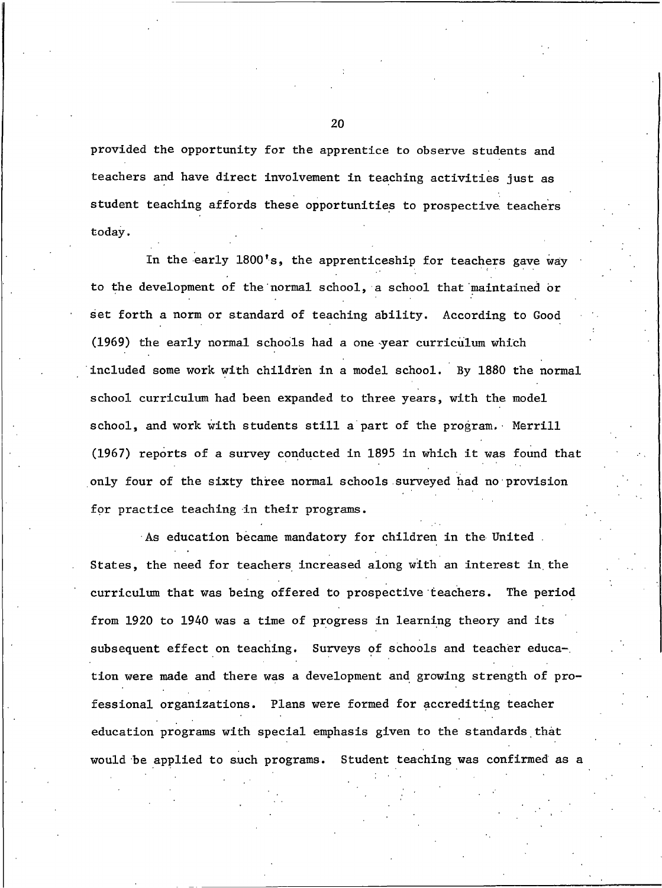provided the opportunity for the apprentice to observe students and teachers and have direct involvement in teaching activities just as student teaching affords these opportunities to prospective teachers today.

In the early 1800's, the apprenticeship for teachers gave way to the development of the normal school, a school that maintained or set forth a norm or standard of teaching ability. According to Good (1969) the early normal schools had a one year curriculum which included some work with children in a model school. By 1880 the normal school curriculum had been expanded to three years, with the model school, and work with students still a part of the program. Merrill (1967) reports of a survey conducted in 1895 in which it was found that only four of the sixty three normal schools surveyed had no provision for practice teaching in their programs.

As education became mandatory for children in the United. States, the need for teachers increased along with an interest in the curriculum that was being offered to prospective teachers. The period from 1920 to 1940 was a time of progress in learning theory and its subsequent effect on teaching. Surveys of schools and teacher education were made and there was a development and growing strength of professional organizations. Plans were formed for accrediting teacher education programs with special emphasis given to the standards that would be applied to such programs. Student teaching was confirmed as a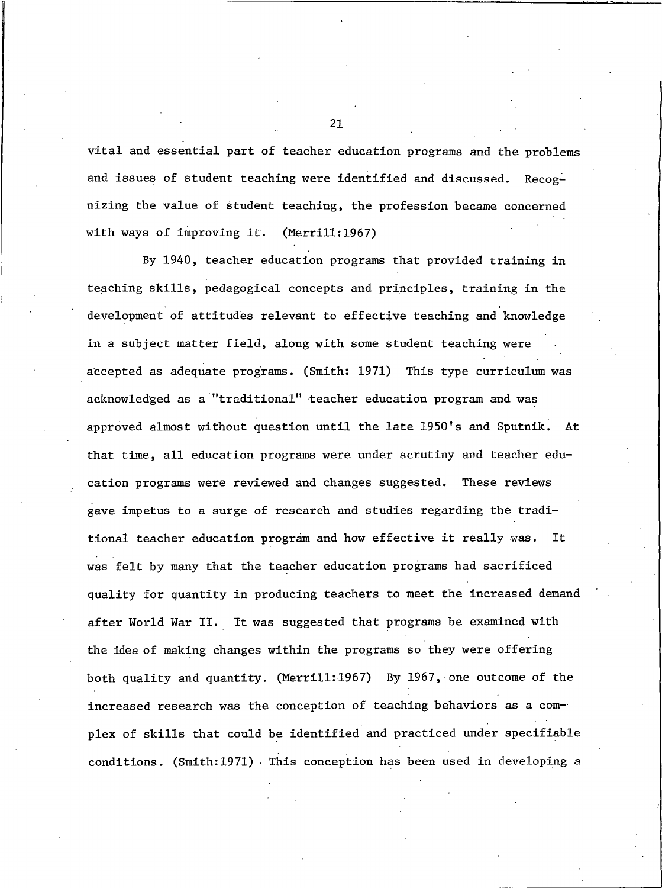vital and essential part of teacher education programs and the problems and issues of student teaching were identified and discussed. Recognizing the value of student teaching, the profession became concerned with ways of improving it.  $(Merri11:1967)$ 

By 1940, teacher education programs that provided training in teaching skills, pedagogical concepts and principles, training in the development of attitudes relevant to effective teaching and knowledge in a subject matter field, along with some student teaching were accepted as adequate programs. (Smith: 1971) This type curriculum was acknowledged as a "traditional" teacher education program and was approved almost without question until the late 1950's and Sputnik. At that time, all education programs were under scrutiny and teacher education programs were reviewed and changes suggested. These reviews gave impetus to a surge of research and studies regarding the traditional teacher education program and how effective it really was. It was felt by many that the teacher education programs had sacrificed quality for quantity in producing teachers to meet the increased demand after World War II. It was suggested that programs be examined with the idea of making changes within the programs so they were offering both quality and quantity. (Merrill:1967) By 1967, one outcome of the increased research was the conception of teaching behaviors as a complex of skills that could be identified and practiced under specifiable conditions. (Smith:1971) This conception has been used in developing a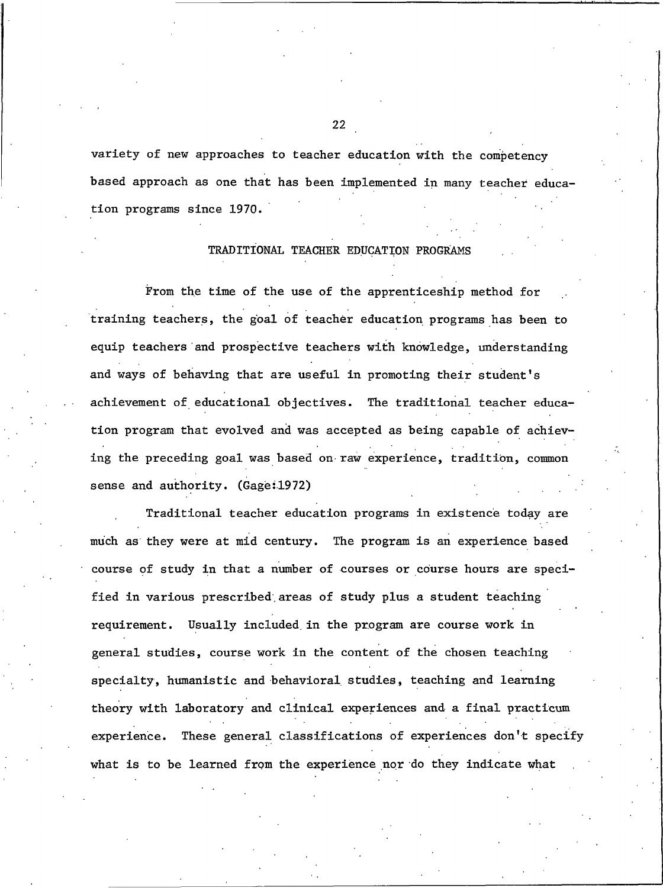variety of new approaches to teacher education with the competency based approach as one that has been implemented in many teacher education programs since 1970.

#### TRADITIONAL TEACHER EDUCATION PROGRAMS

From the time of the use of the apprenticeship method for training teachers, the goal of teacher education programs has been to equip teachers and prospective teachers with knowledge, understanding and ways of behaving that are useful in promoting their student's achievement of educational objectives. The traditional teacher education program that evolved and was accepted as being capable of achieving the preceding goal was based on raw experience, tradition, common sense and authority. (Gage:1972)

Traditional teacher education programs in existence today are much as they were at mid century. The program is an experience based course of study in that a number of courses or course hours are specified in various prescribed areas of study plus a student teaching requirement. Usually included in the program are course work in general studies, course work in the content of the chosen teaching specialty, humanistic and behavioral studies, teaching and learning theory with laboratory and clinical experiences and a final practicum experience. These general classifications of experiences don't specify what is to be learned from the experience nor do they indicate what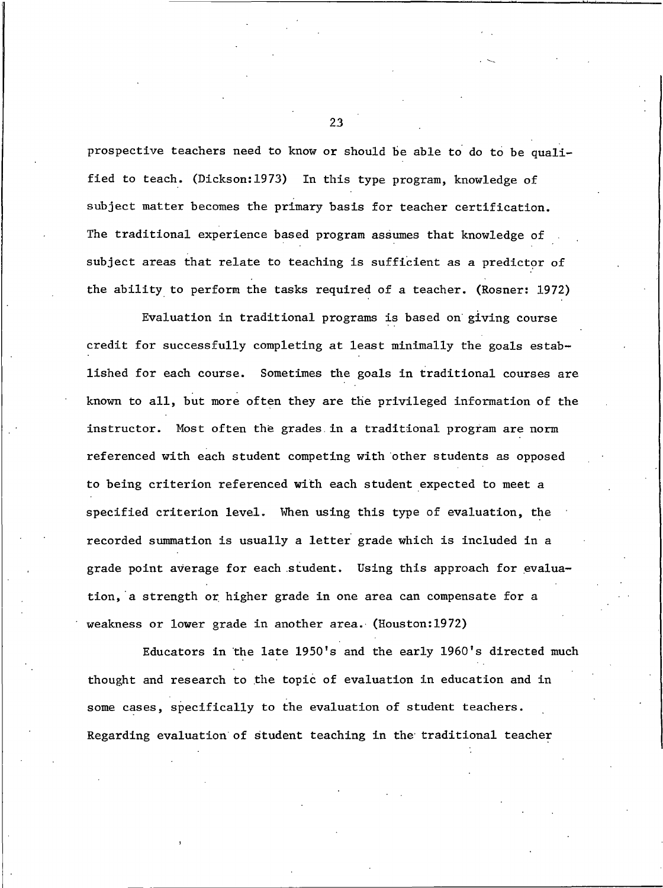prospective teachers need to know or should be able to do to be qualified to teach. (Dickson:1973) In this type program, knowledge of subject matter becomes the primary basis for teacher certification. The traditional experience based program assumes that knowledge of subject areas that relate to teaching is sufficient as a predictor of the ability to perform the tasks required of a teacher. (Rosner: 1972)

Evaluation in traditional programs is based on giving course credit for successfully completing at least minimally the goals established for each course. Sometimes the goals in traditional courses are known to all, but more often they are the privileged information of the instructor. Most often the grades in a traditional program are norm referenced with each student competing with other students as opposed to being criterion referenced with each student expected to meet a specified criterion level. When using this type of evaluation, the recorded summation is usually a letter grade which is included in a grade point average for each student. Using this approach for evaluation, a strength or higher grade in one area can compensate for a weakness or lower grade in another area. (Houston:1972)

Educators in the late 1950's and the early 1960's directed much thought and research to the topic of evaluation in education and in some cases, specifically to the evaluation of student teachers. Regarding evaluation of student teaching in the traditional teacher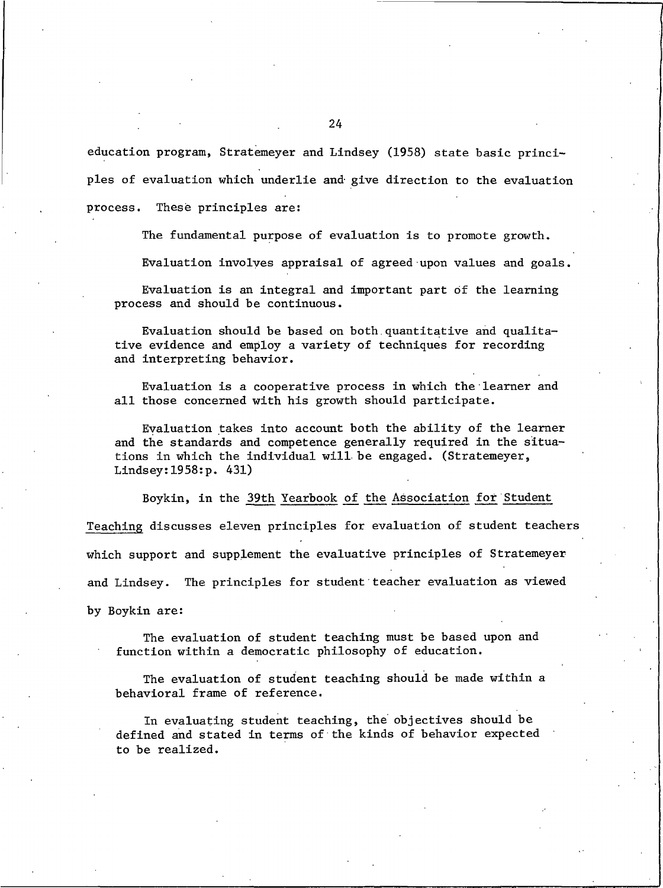education program, Stratemeyer and Lindsey (1958) state basic principles of evaluation which underlie and give direction to the evaluation process. These principles are:

The fundamental purpose of evaluation is to promote growth.

Evaluation involves appraisal of agreed upon values and goals.

Evaluation is an integral and important part of the learning process and should be continuous.

Evaluation should be based on both quantitative and qualitative evidence and employ a variety of techniques for recording and interpreting behavior.

Evaluation is a cooperative process in which the learner and all those concerned with his growth should participate.

Evaluation takes into account both the ability of the learner and the standards and competence generally required in the situations in which the individual will be engaged. (Stratemeyer, Lindsey:  $1958:p. 431)$ 

Boykin, in the 39th Yearbook of the Association for Student Teaching discusses eleven principles for evaluation of student teachers which support and supplement the evaluative principles of Stratemeyer and Lindsey. The principles for student teacher evaluation as viewed by Boykin are:

The evaluation of student teaching must be based upon and function within a democratic philosophy of education.

The evaluation of student teaching should be made within a behavioral frame of reference.

In evaluating student teaching, the objectives should be defined and stated in terms of the kinds of behavior expected to be realized.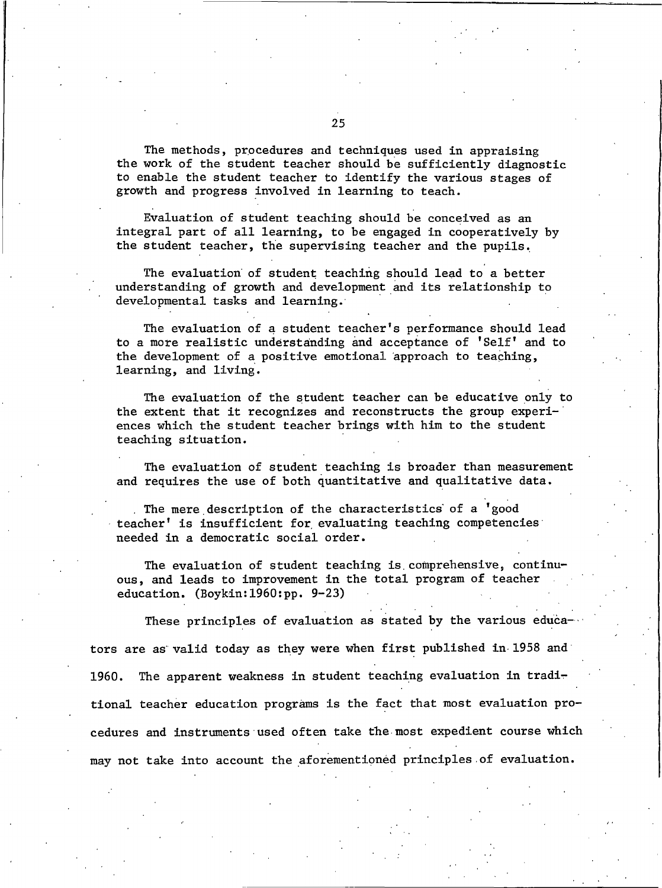The methods, procedures and techniques used in appraising the work of the student teacher should be sufficiently diagnostic to enable the student teacher to identify the various stages of growth and progress involved in learning to teach.

Evaluation of student teaching should be conceived as an integral part of all learning, to be engaged in cooperatively by the student teacher, the supervising teacher and the pupils.

The evaluation of student teaching should lead to a better understanding of growth and development and its relationship to developmental tasks and learning.

The evaluation of a student teacher's performance should lead to a more realistic understanding and acceptance of 'Self' and to the development of a positive emotional approach to teaching, learning, and living.

The evaluation of the student teacher can be educative only to the extent that it recognizes and reconstructs the group experiences which the student teacher brings with him to the student teaching situation.

The evaluation of student teaching is broader than measurement and requires the use of both quantitative and qualitative data.

The mere description of the characteristics of a 'good teacher' is insufficient for evaluating teaching competencies needed in a democratic social order.

The evaluation of student teaching is comprehensive, continuous, and leads to improvement in the total program of teacher education.  $(Boykin:1960:pp. 9-23)$ 

These principles of evaluation as stated by the various educators are as valid today as they were when first published in 1958 and The apparent weakness in student teaching evaluation in tradi-1960. tional teacher education programs is the fact that most evaluation procedures and instruments used often take the most expedient course which may not take into account the aforementioned principles of evaluation.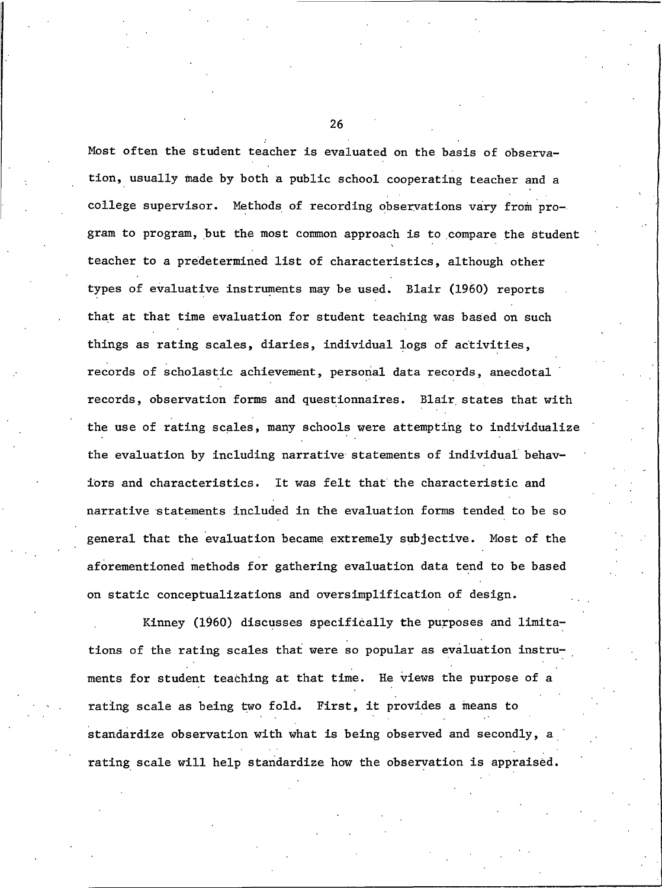Most often the student teacher is evaluated on the basis of observation, usually made by both a public school cooperating teacher and a college supervisor. Methods of recording observations vary from program to program, but the most common approach is to compare the student teacher to a predetermined list of characteristics, although other types of evaluative instruments may be used. Blair (1960) reports that at that time evaluation for student teaching was based on such things as rating scales, diaries, individual logs of activities, records of scholastic achievement, personal data records, anecdotal records, observation forms and questionnaires. Blair states that with the use of rating scales, many schools were attempting to individualize the evaluation by including narrative statements of individual behaviors and characteristics. It was felt that the characteristic and narrative statements included in the evaluation forms tended to be so general that the evaluation became extremely subjective. Most of the aforementioned methods for gathering evaluation data tend to be based on static conceptualizations and oversimplification of design.

Kinney (1960) discusses specifically the purposes and limitations of the rating scales that were so popular as evaluation instruments for student teaching at that time. He views the purpose of a rating scale as being two fold. First, it provides a means to standardize observation with what is being observed and secondly, a rating scale will help standardize how the observation is appraised.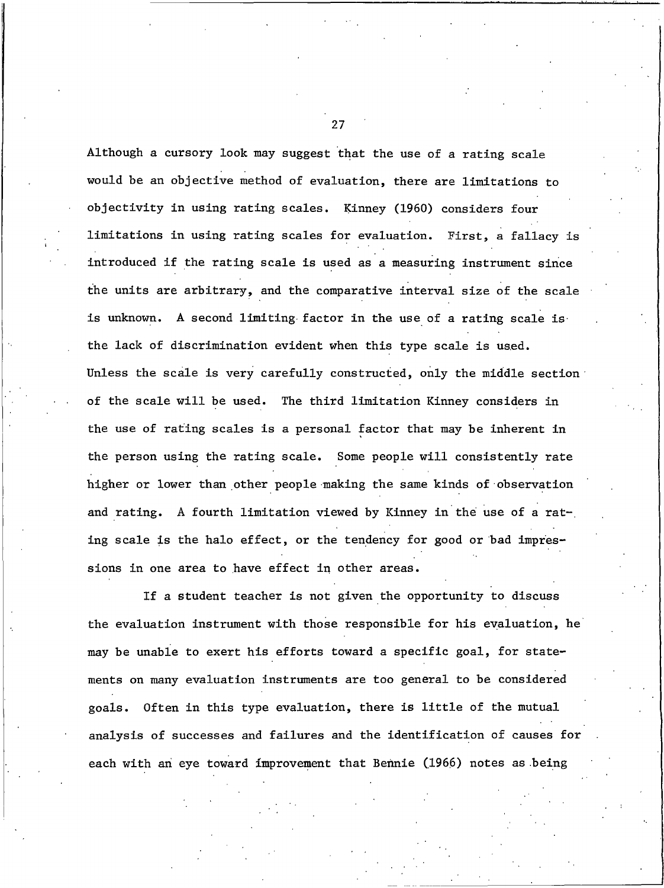Although a cursory look may suggest that the use of a rating scale would be an objective method of evaluation, there are limitations to objectivity in using rating scales. Kinney (1960) considers four limitations in using rating scales for evaluation. First, a fallacy is introduced if the rating scale is used as a measuring instrument since the units are arbitrary, and the comparative interval size of the scale is unknown. A second limiting factor in the use of a rating scale is the lack of discrimination evident when this type scale is used. Unless the scale is very carefully constructed, only the middle section of the scale will be used. The third limitation Kinney considers in the use of rating scales is a personal factor that may be inherent in the person using the rating scale. Some people will consistently rate higher or lower than other people making the same kinds of observation and rating. A fourth limitation viewed by Kinney in the use of a rating scale is the halo effect, or the tendency for good or bad impressions in one area to have effect in other areas.

If a student teacher is not given the opportunity to discuss the evaluation instrument with those responsible for his evaluation, he may be unable to exert his efforts toward a specific goal, for statements on many evaluation instruments are too general to be considered goals. Often in this type evaluation, there is little of the mutual analysis of successes and failures and the identification of causes for each with an eye toward improvement that Bennie (1966) notes as being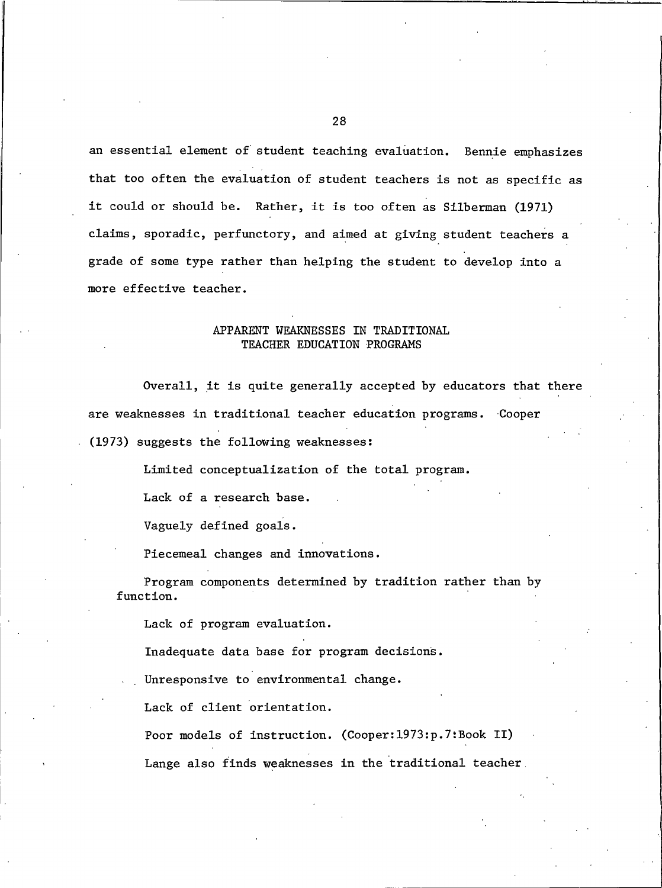an essential element of student teaching evaluation. Bennie emphasizes that too often the evaluation of student teachers is not as specific as it could or should be. Rather, it is too often as Silberman (1971) claims, sporadic, perfunctory, and aimed at giving student teachers a grade of some type rather than helping the student to develop into a more effective teacher.

## APPARENT WEAKNESSES IN TRADITIONAL TEACHER EDUCATION PROGRAMS

Overall, it is quite generally accepted by educators that there are weaknesses in traditional teacher education programs. Cooper (1973) suggests the following weaknesses:

Limited conceptualization of the total program.

Lack of a research base.

Vaguely defined goals.

Piecemeal changes and innovations.

Program components determined by tradition rather than by function.

Lack of program evaluation.

Inadequate data base for program decisions.

Unresponsive to environmental change.

Lack of client orientation.

Poor models of instruction. (Cooper:1973:p.7:Book II) Lange also finds weaknesses in the traditional teacher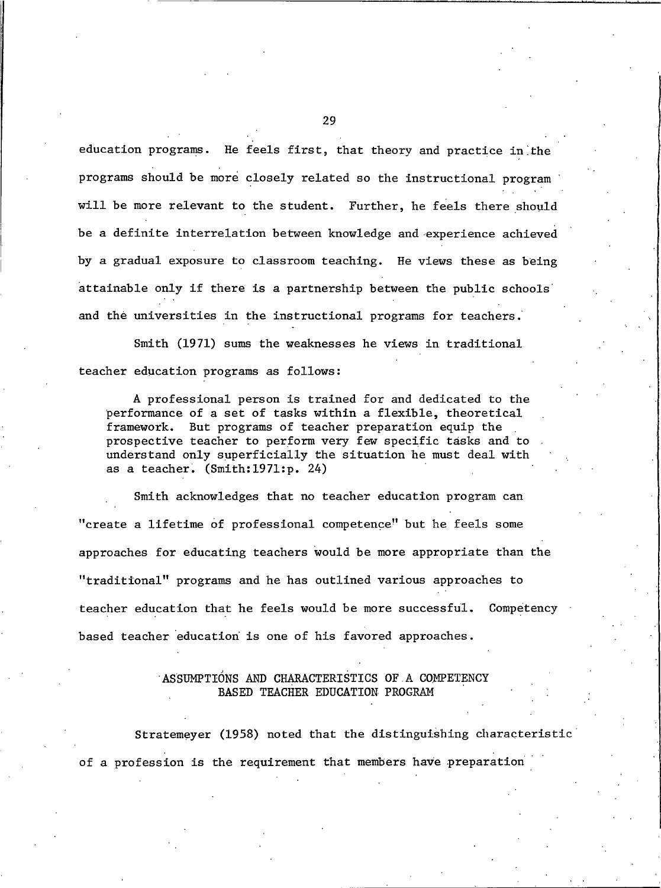education programs. He feels first, that theory and practice in the programs should be more closely related so the instructional program will be more relevant to the student. Further, he feels there should be a definite interrelation between knowledge and experience achieved by a gradual exposure to classroom teaching. He views these as being attainable only if there is a partnership between the public schools and the universities in the instructional programs for teachers.

Smith (1971) sums the weaknesses he views in traditional teacher education programs as follows:

A professional person is trained for and dedicated to the performance of a set of tasks within a flexible, theoretical framework. But programs of teacher preparation equip the prospective teacher to perform very few specific tasks and to understand only superficially the situation he must deal with as a teacher.  $(Smith:1971:p. 24)$ 

Smith acknowledges that no teacher education program can "create a lifetime of professional competence" but he feels some approaches for educating teachers would be more appropriate than the "traditional" programs and he has outlined various approaches to teacher education that he feels would be more successful. Competency based teacher education is one of his favored approaches.

## ASSUMPTIONS AND CHARACTERISTICS OF A COMPETENCY BASED TEACHER EDUCATION PROGRAM

Stratemeyer (1958) noted that the distinguishing characteristic of a profession is the requirement that members have preparation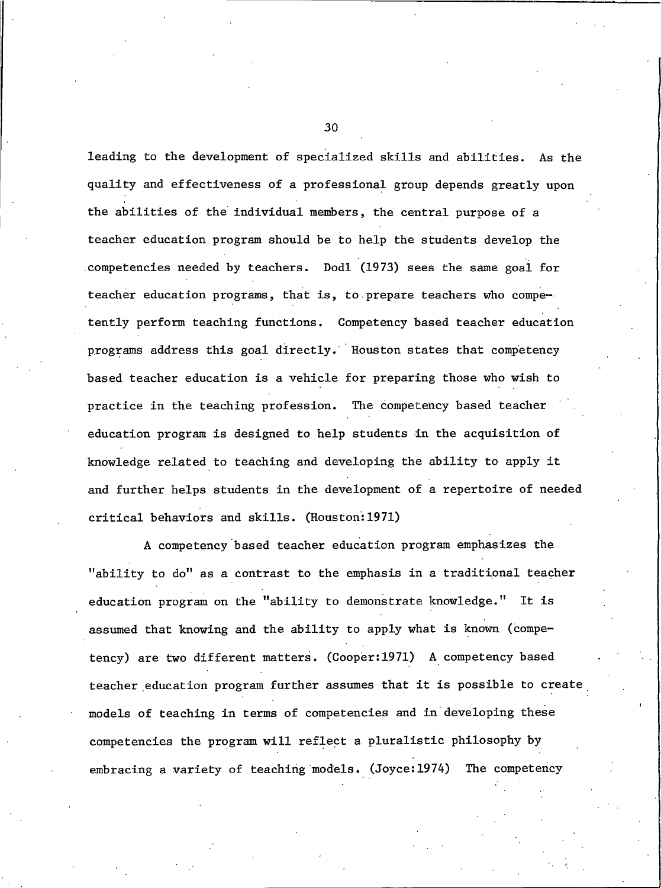leading to the development of specialized skills and abilities. As the quality and effectiveness of a professional group depends greatly upon the abilities of the individual members, the central purpose of a teacher education program should be to help the students develop the competencies needed by teachers. Dodl (1973) sees the same goal for teacher education programs, that is, to prepare teachers who competently perform teaching functions. Competency based teacher education programs address this goal directly. Houston states that competency based teacher education is a vehicle for preparing those who wish to practice in the teaching profession. The competency based teacher education program is designed to help students in the acquisition of knowledge related to teaching and developing the ability to apply it and further helps students in the development of a repertoire of needed critical behaviors and skills. (Houston: 1971)

A competency based teacher education program emphasizes the "ability to do" as a contrast to the emphasis in a traditional teacher education program on the "ability to demonstrate knowledge." It is assumed that knowing and the ability to apply what is known (competency) are two different matters. (Cooper:1971) A competency based teacher education program further assumes that it is possible to create models of teaching in terms of competencies and in developing these competencies the program will reflect a pluralistic philosophy by embracing a variety of teaching models. (Joyce: 1974) The competency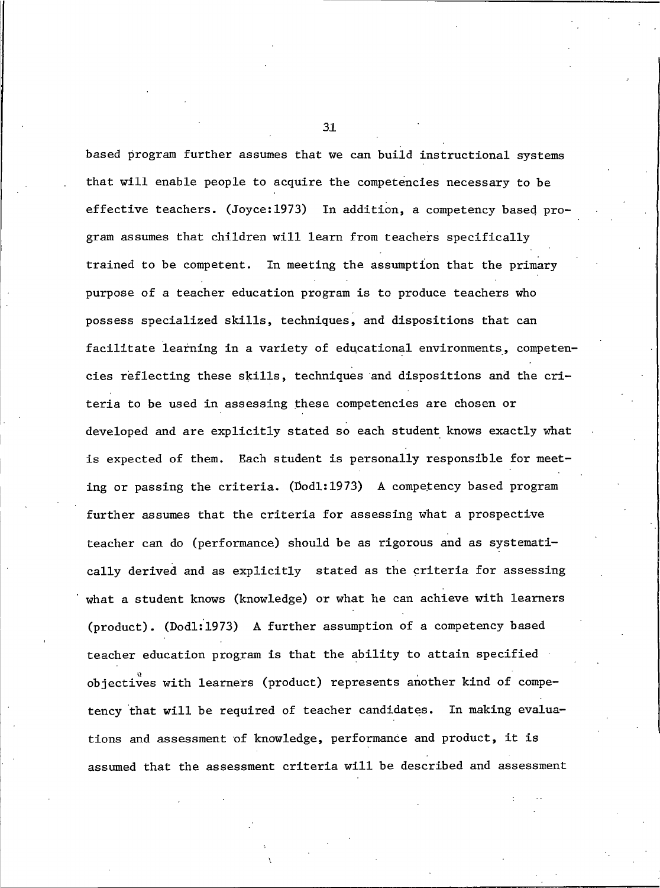based program further assumes that we can build instructional systems that will enable people to acquire the competencies necessary to be effective teachers. (Joyce:1973) In addition, a competency based program assumes that children will learn from teachers specifically trained to be competent. In meeting the assumption that the primary purpose of a teacher education program is to produce teachers who possess specialized skills, techniques, and dispositions that can facilitate learning in a variety of educational environments, competencies reflecting these skills, techniques and dispositions and the criteria to be used in assessing these competencies are chosen or developed and are explicitly stated so each student knows exactly what is expected of them. Each student is personally responsible for meeting or passing the criteria. (Dodl:1973) A competency based program further assumes that the criteria for assessing what a prospective teacher can do (performance) should be as rigorous and as systematically derived and as explicitly stated as the criteria for assessing what a student knows (knowledge) or what he can achieve with learners (product). (Dod1:1973) A further assumption of a competency based teacher education program is that the ability to attain specified objectives with learners (product) represents another kind of competency that will be required of teacher candidates. In making evaluations and assessment of knowledge, performance and product, it is assumed that the assessment criteria will be described and assessment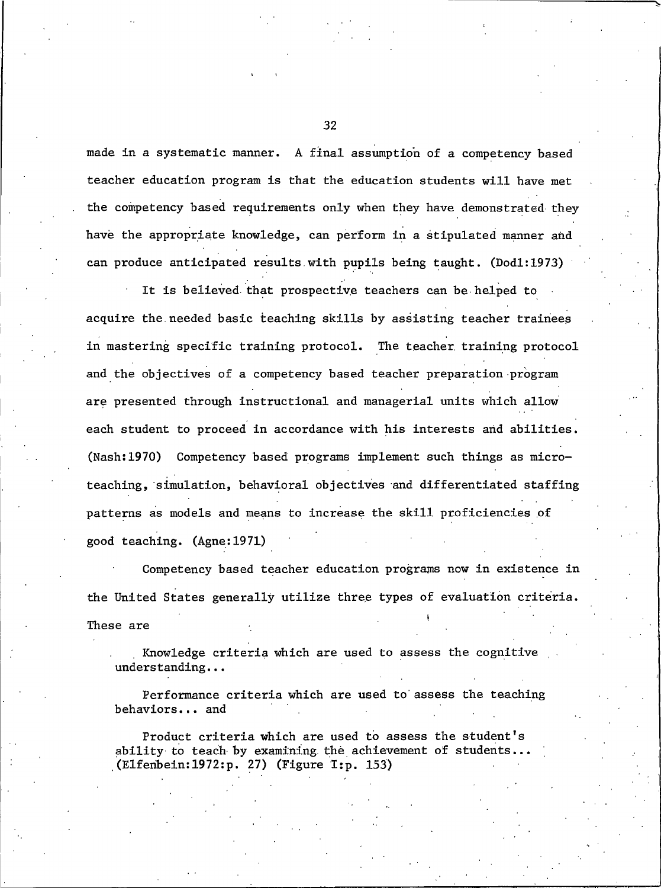made in a systematic manner. A final assumption of a competency based teacher education program is that the education students will have met the competency based requirements only when they have demonstrated they have the appropriate knowledge, can perform in a stipulated manner and can produce anticipated results with pupils being taught. (Dodl:1973)

It is believed that prospective teachers can be helped to acquire the needed basic teaching skills by assisting teacher trainees in mastering specific training protocol. The teacher training protocol and the objectives of a competency based teacher preparation program are presented through instructional and managerial units which allow each student to proceed in accordance with his interests and abilities. (Nash:1970) Competency based programs implement such things as microteaching, simulation, behavioral objectives and differentiated staffing patterns as models and means to increase the skill proficiencies of good teaching. (Agne: 1971)

Competency based teacher education programs now in existence in the United States generally utilize three types of evaluation criteria. These are

Knowledge criteria which are used to assess the cognitive  $understanding...$ 

Performance criteria which are used to assess the teaching behaviors... and

Product criteria which are used to assess the student's ability to teach by examining the achievement of students... (Elfenbein: 1972: p. 27) (Figure I: p. 153)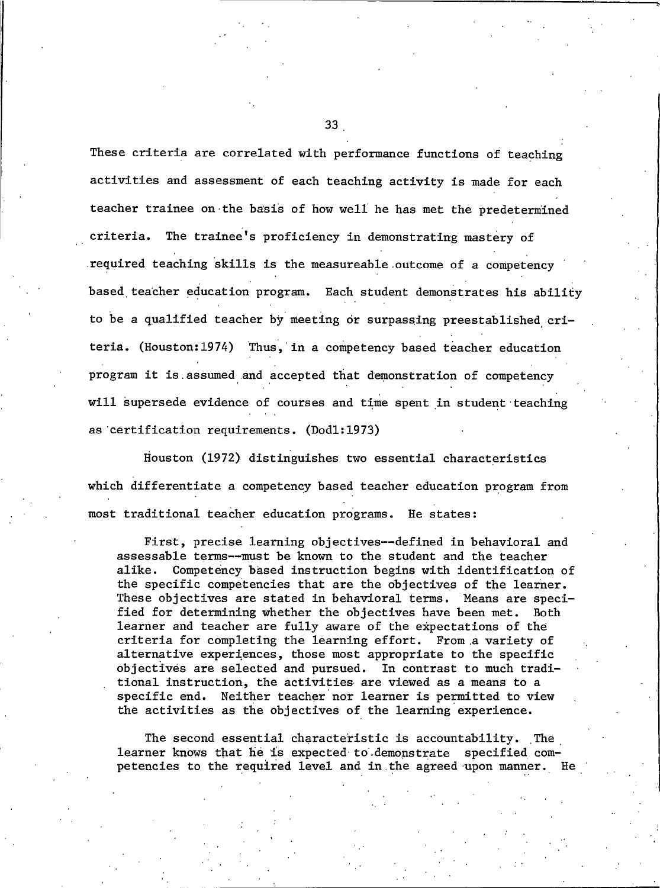These criteria are correlated with performance functions of teaching activities and assessment of each teaching activity is made for each teacher trainee on the basis of how well he has met the predetermined The trainee's proficiency in demonstrating mastery of criteria. required teaching skills is the measureable outcome of a competency based teacher education program. Each student demonstrates his ability to be a qualified teacher by meeting or surpassing preestablished criteria. (Houston: 1974) Thus, in a competency based teacher education program it is assumed and accepted that demonstration of competency will supersede evidence of courses and time spent in student teaching as certification requirements. (Dod1:1973)

Houston (1972) distinguishes two essential characteristics which differentiate a competency based teacher education program from most traditional teacher education programs. He states:

First, precise learning objectives--defined in behavioral and assessable terms--must be known to the student and the teacher alike. Competency based instruction begins with identification of the specific competencies that are the objectives of the learner. These objectives are stated in behavioral terms. Means are specified for determining whether the objectives have been met. Both learner and teacher are fully aware of the expectations of the criteria for completing the learning effort. From a variety of alternative experiences, those most appropriate to the specific objectives are selected and pursued. In contrast to much traditional instruction, the activities are viewed as a means to a specific end. Neither teacher nor learner is permitted to view the activities as the objectives of the learning experience.

The second essential characteristic is accountability. The learner knows that he is expected to demonstrate specified competencies to the required level and in the agreed upon manner. He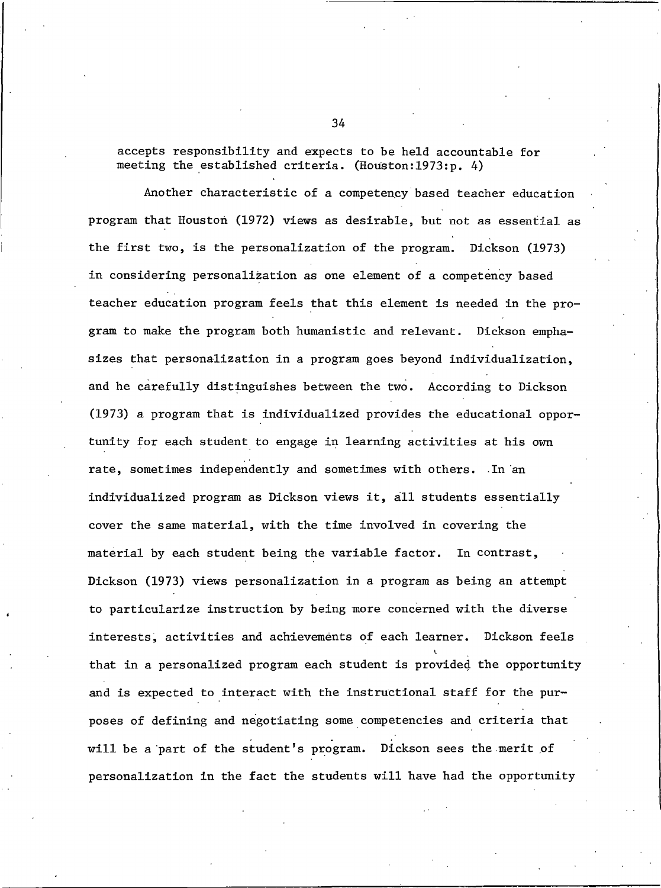accepts responsibility and expects to be held accountable for meeting the established criteria. (Houston:1973:p. 4)

Another characteristic of a competency based teacher education program that Houston (1972) views as desirable, but not as essential as the first two, is the personalization of the program. Dickson (1973) in considering personalization as one element of a competency based teacher education program feels that this element is needed in the program to make the program both humanistic and relevant. Dickson emphasizes that personalization in a program goes beyond individualization, and he carefully distinguishes between the two. According to Dickson (1973) a program that is individualized provides the educational opportunity for each student to engage in learning activities at his own rate, sometimes independently and sometimes with others. In an individualized program as Dickson views it, all students essentially cover the same material, with the time involved in covering the material by each student being the variable factor. In contrast, Dickson (1973) views personalization in a program as being an attempt to particularize instruction by being more concerned with the diverse interests, activities and achievements of each learner. Dickson feels that in a personalized program each student is provided the opportunity and is expected to interact with the instructional staff for the purposes of defining and negotiating some competencies and criteria that will be a part of the student's program. Dickson sees the merit of personalization in the fact the students will have had the opportunity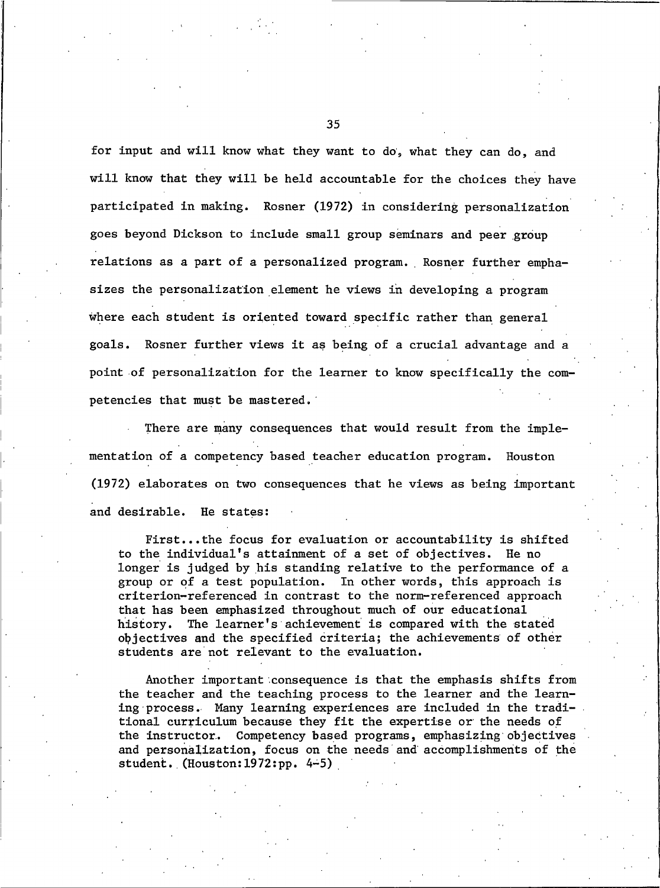for input and will know what they want to do, what they can do, and will know that they will be held accountable for the choices they have participated in making. Rosner (1972) in considering personalization goes beyond Dickson to include small group seminars and peer group relations as a part of a personalized program. Rosner further emphasizes the personalization element he views in developing a program where each student is oriented toward specific rather than general goals. Rosner further views it as being of a crucial advantage and a point of personalization for the learner to know specifically the competencies that must be mastered.

There are many consequences that would result from the implementation of a competency based teacher education program. Houston (1972) elaborates on two consequences that he views as being important and desirable. He states:

First...the focus for evaluation or accountability is shifted to the individual's attainment of a set of objectives. He no longer is judged by his standing relative to the performance of a group or of a test population. In other words, this approach is criterion-referenced in contrast to the norm-referenced approach that has been emphasized throughout much of our educational history. The learner's achievement is compared with the stated objectives and the specified criteria; the achievements of other students are not relevant to the evaluation.

Another important consequence is that the emphasis shifts from the teacher and the teaching process to the learner and the learning process. Many learning experiences are included in the traditional curriculum because they fit the expertise or the needs of the instructor. Competency based programs, emphasizing objectives and personalization, focus on the needs and accomplishments of the student. (Houston:  $1972:pp. 4-5$ )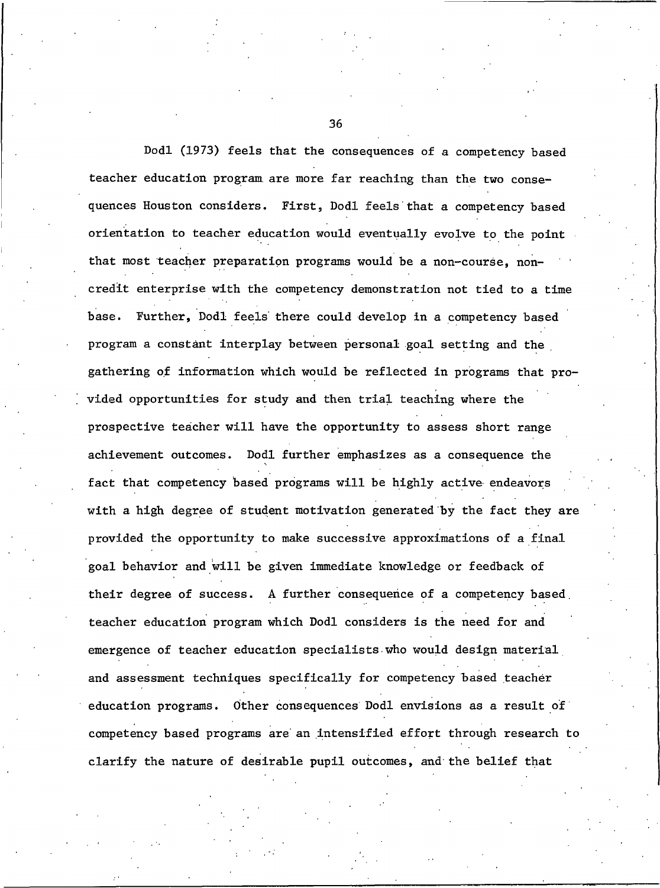Dodl (1973) feels that the consequences of a competency based teacher education program are more far reaching than the two consequences Houston considers. First, Dodl feels that a competency based orientation to teacher education would eventually evolve to the point that most teacher preparation programs would be a non-course, noncredit enterprise with the competency demonstration not tied to a time base. Further, Dodl feels there could develop in a competency based program a constant interplay between personal goal setting and the gathering of information which would be reflected in programs that provided opportunities for study and then trial teaching where the prospective teacher will have the opportunity to assess short range Dodl further emphasizes as a consequence the achievement outcomes. fact that competency based programs will be highly active endeavors with a high degree of student motivation generated by the fact they are provided the opportunity to make successive approximations of a final goal behavior and will be given immediate knowledge or feedback of their degree of success. A further consequence of a competency based teacher education program which Dodl considers is the need for and emergence of teacher education specialists who would design material and assessment techniques specifically for competency based teacher education programs. Other consequences Dodl envisions as a result of competency based programs are an intensified effort through research to clarify the nature of desirable pupil outcomes, and the belief that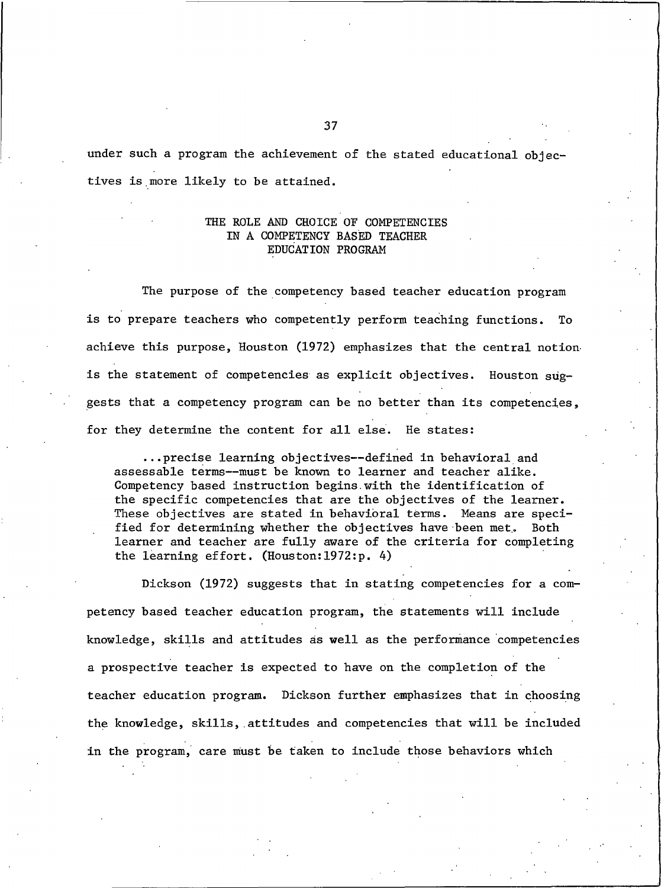under such a program the achievement of the stated educational objectives is more likely to be attained.

## THE ROLE AND CHOICE OF COMPETENCIES IN A COMPETENCY BASED TEACHER EDUCATION PROGRAM

The purpose of the competency based teacher education program is to prepare teachers who competently perform teaching functions. To achieve this purpose, Houston (1972) emphasizes that the central notion is the statement of competencies as explicit objectives. Houston suggests that a competency program can be no better than its competencies, for they determine the content for all else. He states:

... precise learning objectives--defined in behavioral and assessable terms--must be known to learner and teacher alike. Competency based instruction begins with the identification of the specific competencies that are the objectives of the learner. These objectives are stated in behavioral terms. Means are specified for determining whether the objectives have been met. Both learner and teacher are fully aware of the criteria for completing the learning effort. (Houston: 1972:p. 4)

Dickson (1972) suggests that in stating competencies for a competency based teacher education program, the statements will include knowledge, skills and attitudes as well as the performance competencies a prospective teacher is expected to have on the completion of the teacher education program. Dickson further emphasizes that in choosing the knowledge, skills, attitudes and competencies that will be included in the program, care must be taken to include those behaviors which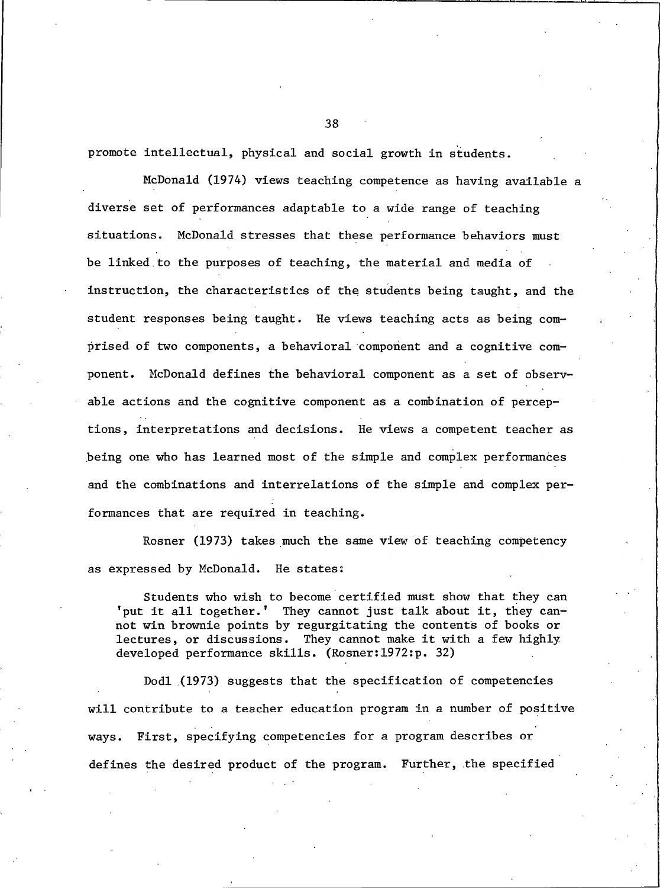promote intellectual, physical and social growth in students.

McDonald (1974) views teaching competence as having available a diverse set of performances adaptable to a wide range of teaching situations. McDonald stresses that these performance behaviors must be linked to the purposes of teaching, the material and media of instruction, the characteristics of the students being taught, and the student responses being taught. He views teaching acts as being comprised of two components, a behavioral component and a cognitive component. McDonald defines the behavioral component as a set of observable actions and the cognitive component as a combination of perceptions, interpretations and decisions. He views a competent teacher as being one who has learned most of the simple and complex performances and the combinations and interrelations of the simple and complex performances that are required in teaching.

Rosner (1973) takes much the same view of teaching competency as expressed by McDonald. He states:

Students who wish to become certified must show that they can 'put it all together.' They cannot just talk about it, they cannot win brownie points by regurgitating the contents of books or lectures, or discussions. They cannot make it with a few highly developed performance skills. (Rosner: 1972:p. 32)

Dodl (1973) suggests that the specification of competencies will contribute to a teacher education program in a number of positive ways. First, specifying competencies for a program describes or defines the desired product of the program. Further, the specified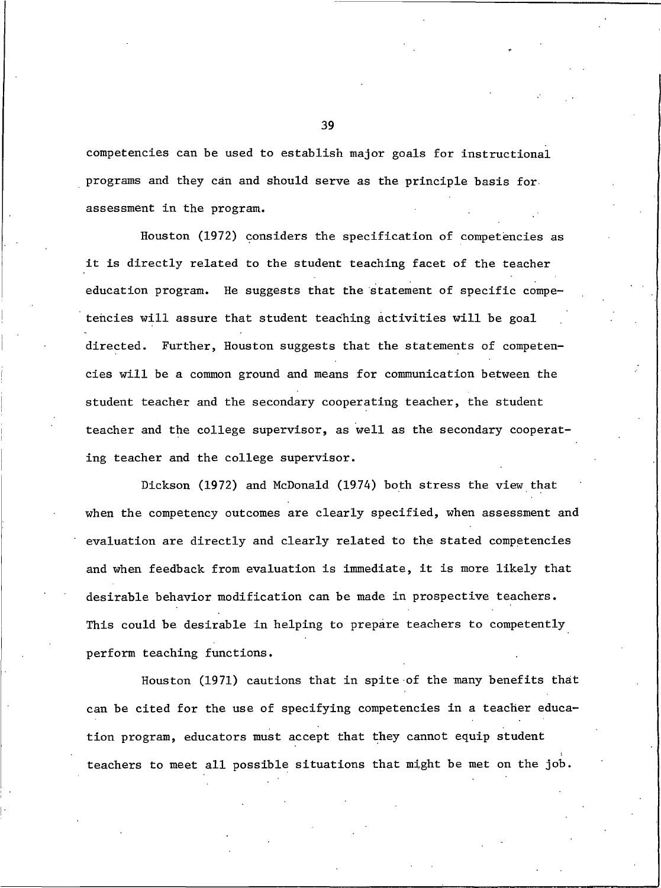competencies can be used to establish major goals for instructional programs and they can and should serve as the principle basis for assessment in the program.

Houston (1972) considers the specification of competencies as it is directly related to the student teaching facet of the teacher education program. He suggests that the statement of specific competencies will assure that student teaching activities will be goal directed. Further, Houston suggests that the statements of competencies will be a common ground and means for communication between the student teacher and the secondary cooperating teacher, the student teacher and the college supervisor, as well as the secondary cooperating teacher and the college supervisor.

Dickson (1972) and McDonald (1974) both stress the view that when the competency outcomes are clearly specified, when assessment and evaluation are directly and clearly related to the stated competencies and when feedback from evaluation is immediate, it is more likely that desirable behavior modification can be made in prospective teachers. This could be desirable in helping to prepare teachers to competently perform teaching functions.

Houston (1971) cautions that in spite of the many benefits that can be cited for the use of specifying competencies in a teacher education program, educators must accept that they cannot equip student teachers to meet all possible situations that might be met on the job.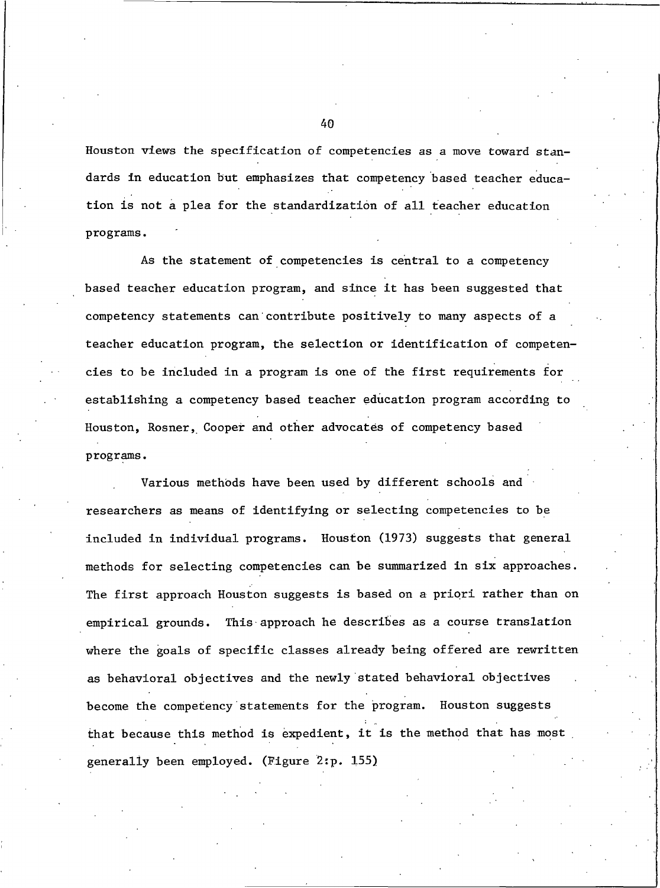Houston views the specification of competencies as a move toward standards in education but emphasizes that competency based teacher education is not a plea for the standardization of all teacher education programs.

As the statement of competencies is central to a competency based teacher education program, and since it has been suggested that competency statements can contribute positively to many aspects of a teacher education program, the selection or identification of competencies to be included in a program is one of the first requirements for establishing a competency based teacher education program according to Houston, Rosner, Cooper and other advocates of competency based programs.

Various methods have been used by different schools and researchers as means of identifying or selecting competencies to be included in individual programs. Houston (1973) suggests that general methods for selecting competencies can be summarized in six approaches. The first approach Houston suggests is based on a priori rather than on empirical grounds. This approach he describes as a course translation where the goals of specific classes already being offered are rewritten as behavioral objectives and the newly stated behavioral objectives become the competency statements for the program. Houston suggests that because this method is expedient, it is the method that has most generally been employed. (Figure 2:p. 155)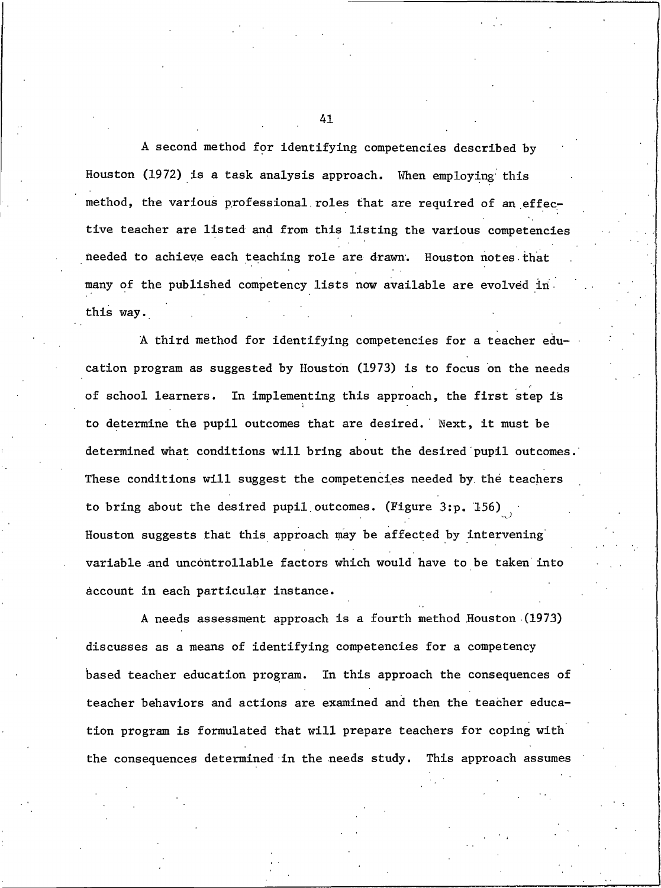A second method for identifying competencies described by Houston (1972) is a task analysis approach. When employing this method, the various professional roles that are required of an effective teacher are listed and from this listing the various competencies needed to achieve each teaching role are drawn. Houston notes that many of the published competency lists now available are evolved in this way.

A third method for identifying competencies for a teacher education program as suggested by Houston (1973) is to focus on the needs of school learners. In implementing this approach, the first step is to determine the pupil outcomes that are desired. Next, it must be determined what conditions will bring about the desired pupil outcomes. These conditions will suggest the competencies needed by the teachers to bring about the desired pupil outcomes. (Figure 3:p. 156) Houston suggests that this approach may be affected by intervening variable and uncontrollable factors which would have to be taken into account in each particular instance.

A needs assessment approach is a fourth method Houston (1973) discusses as a means of identifying competencies for a competency based teacher education program. In this approach the consequences of teacher behaviors and actions are examined and then the teacher education program is formulated that will prepare teachers for coping with the consequences determined in the needs study. This approach assumes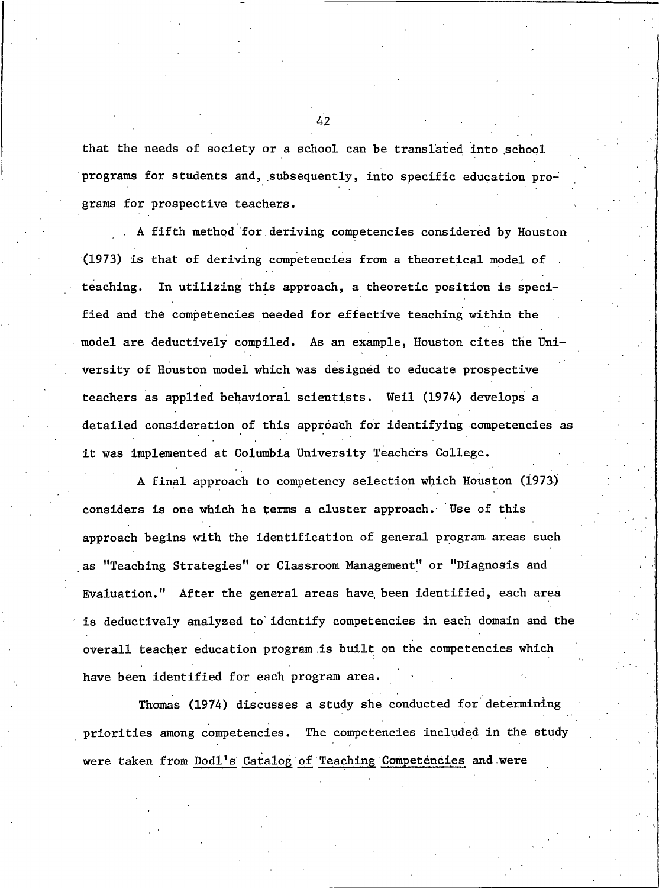that the needs of society or a school can be translated into school programs for students and, subsequently, into specific education programs for prospective teachers.

A fifth method for deriving competencies considered by Houston (1973) is that of deriving competencies from a theoretical model of In utilizing this approach, a theoretic position is speciteaching. fied and the competencies needed for effective teaching within the model are deductively compiled. As an example, Houston cites the University of Houston model which was designed to educate prospective teachers as applied behavioral scientists. Weil (1974) develops a detailed consideration of this approach for identifying competencies as it was implemented at Columbia University Teachers College.

A final approach to competency selection which Houston (1973) considers is one which he terms a cluster approach. Use of this approach begins with the identification of general program areas such as "Teaching Strategies" or Classroom Management" or "Diagnosis and Evaluation." After the general areas have been identified, each area is deductively analyzed to identify competencies in each domain and the overall teacher education program is built on the competencies which have been identified for each program area.

Thomas (1974) discusses a study she conducted for determining priorities among competencies. The competencies included in the study were taken from Dodl's Catalog of Teaching Competencies and were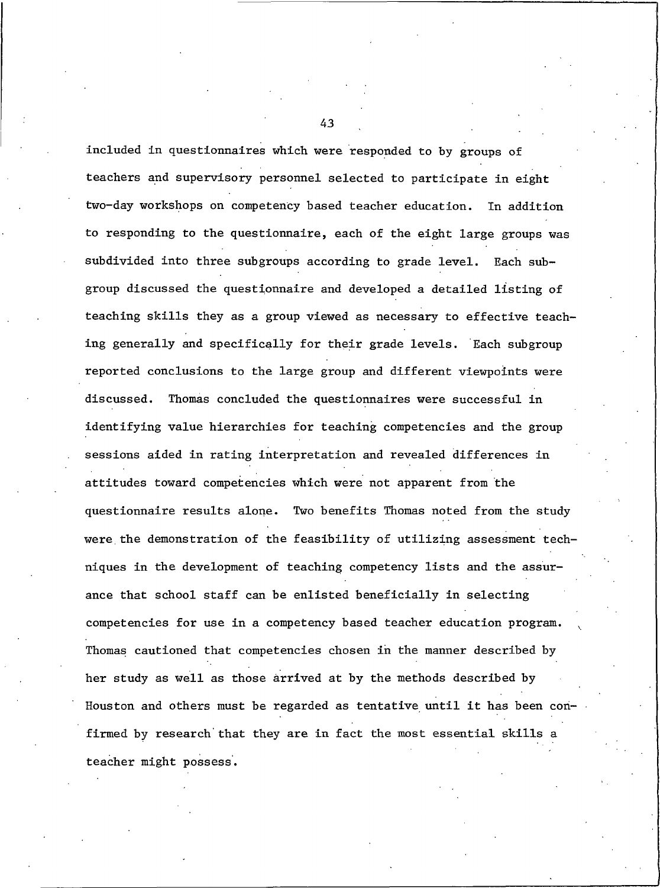included in questionnaires which were responded to by groups of teachers and supervisory personnel selected to participate in eight two-day workshops on competency based teacher education. In addition to responding to the questionnaire, each of the eight large groups was subdivided into three subgroups according to grade level. Each subgroup discussed the questionnaire and developed a detailed listing of teaching skills they as a group viewed as necessary to effective teaching generally and specifically for their grade levels. Each subgroup reported conclusions to the large group and different viewpoints were discussed. Thomas concluded the questionnaires were successful in identifying value hierarchies for teaching competencies and the group sessions aided in rating interpretation and revealed differences in attitudes toward competencies which were not apparent from the questionnaire results alone. Two benefits Thomas noted from the study were the demonstration of the feasibility of utilizing assessment techniques in the development of teaching competency lists and the assurance that school staff can be enlisted beneficially in selecting competencies for use in a competency based teacher education program. Thomas cautioned that competencies chosen in the manner described by her study as well as those arrived at by the methods described by Houston and others must be regarded as tentative until it has been confirmed by research that they are in fact the most essential skills a teacher might possess.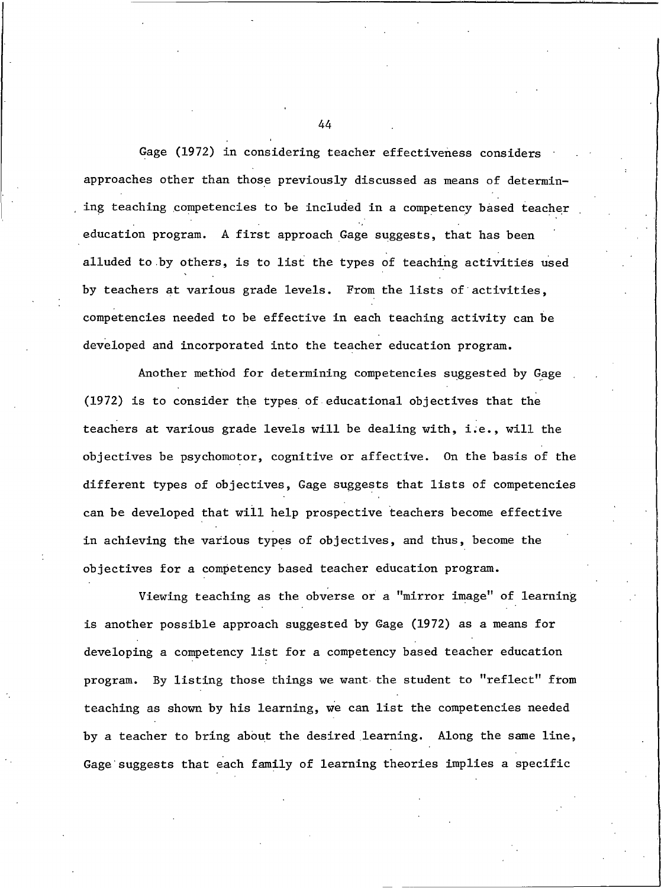Gage (1972) in considering teacher effectiveness considers approaches other than those previously discussed as means of determining teaching competencies to be included in a competency based teacher education program. A first approach Gage suggests, that has been alluded to by others, is to list the types of teaching activities used by teachers at various grade levels. From the lists of activities, competencies needed to be effective in each teaching activity can be developed and incorporated into the teacher education program.

Another method for determining competencies suggested by Gage (1972) is to consider the types of educational objectives that the teachers at various grade levels will be dealing with, i.e., will the objectives be psychomotor, cognitive or affective. On the basis of the different types of objectives, Gage suggests that lists of competencies can be developed that will help prospective teachers become effective in achieving the various types of objectives, and thus, become the objectives for a competency based teacher education program.

Viewing teaching as the obverse or a "mirror image" of learning is another possible approach suggested by Gage (1972) as a means for developing a competency list for a competency based teacher education program. By listing those things we want the student to "reflect" from teaching as shown by his learning, we can list the competencies needed by a teacher to bring about the desired learning. Along the same line, Gage suggests that each family of learning theories implies a specific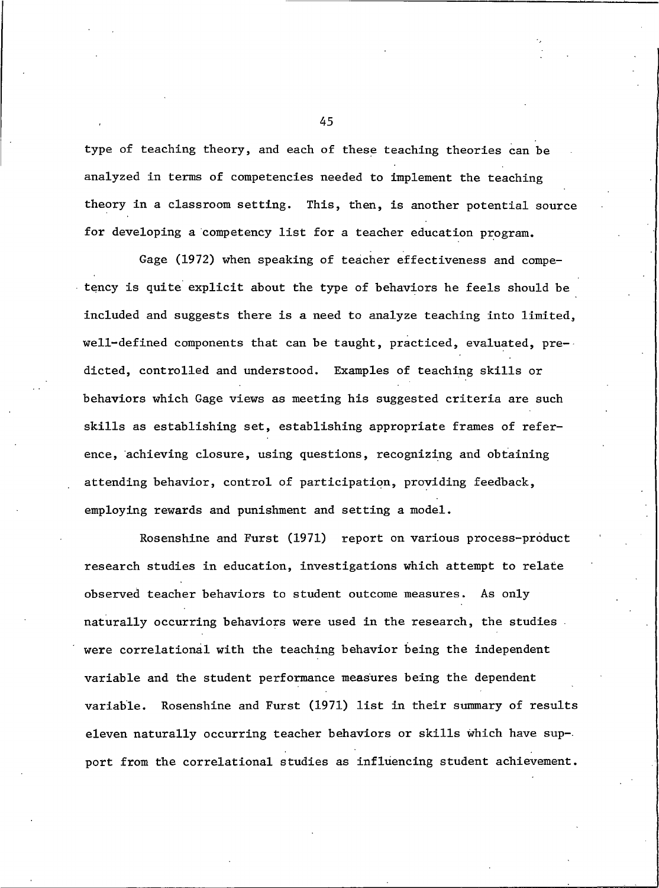type of teaching theory, and each of these teaching theories can be analyzed in terms of competencies needed to implement the teaching theory in a classroom setting. This, then, is another potential source for developing a competency list for a teacher education program.

Gage (1972) when speaking of teacher effectiveness and competency is quite explicit about the type of behaviors he feels should be included and suggests there is a need to analyze teaching into limited, well-defined components that can be taught, practiced, evaluated, predicted, controlled and understood. Examples of teaching skills or behaviors which Gage views as meeting his suggested criteria are such skills as establishing set, establishing appropriate frames of reference, achieving closure, using questions, recognizing and obtaining attending behavior, control of participation, providing feedback, employing rewards and punishment and setting a model.

Rosenshine and Furst (1971) report on various process-product research studies in education, investigations which attempt to relate observed teacher behaviors to student outcome measures. As only naturally occurring behaviors were used in the research, the studies. were correlational with the teaching behavior being the independent variable and the student performance measures being the dependent variable. Rosenshine and Furst (1971) list in their summary of results eleven naturally occurring teacher behaviors or skills which have support from the correlational studies as influencing student achievement.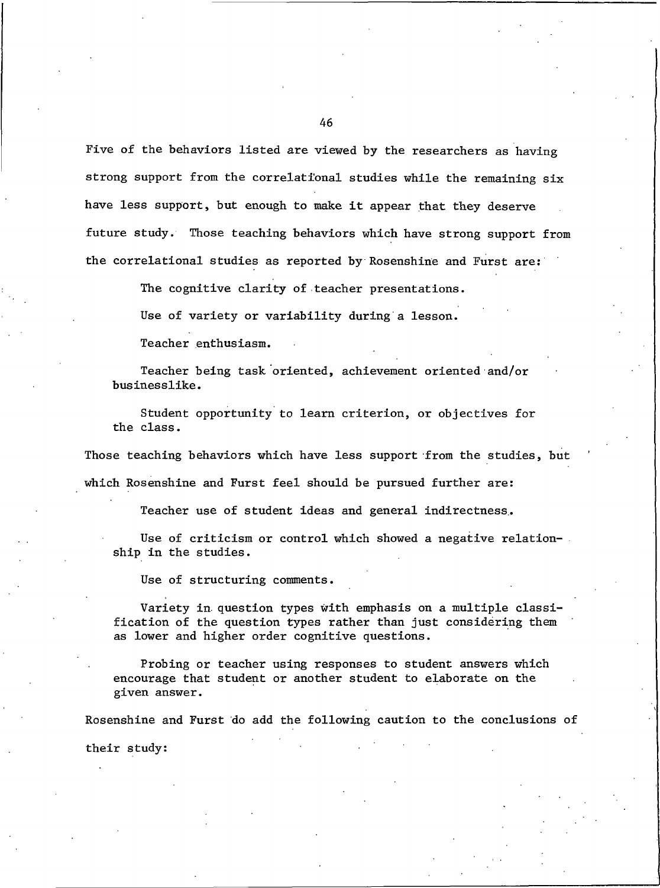Five of the behaviors listed are viewed by the researchers as having strong support from the correlational studies while the remaining six have less support, but enough to make it appear that they deserve future study. Those teaching behaviors which have strong support from the correlational studies as reported by Rosenshine and Furst are:

The cognitive clarity of teacher presentations.

Use of variety or variability during a lesson.

Teacher enthusiasm.

Teacher being task oriented, achievement oriented and/or businesslike.

Student opportunity to learn criterion, or objectives for the class.

Those teaching behaviors which have less support from the studies, but which Rosenshine and Furst feel should be pursued further are:

Teacher use of student ideas and general indirectness.

Use of criticism or control which showed a negative relationship in the studies.

Use of structuring comments.

Variety in question types with emphasis on a multiple classification of the question types rather than just considering them as lower and higher order cognitive questions.

Probing or teacher using responses to student answers which encourage that student or another student to elaborate on the given answer.

Rosenshine and Furst do add the following caution to the conclusions of

their study: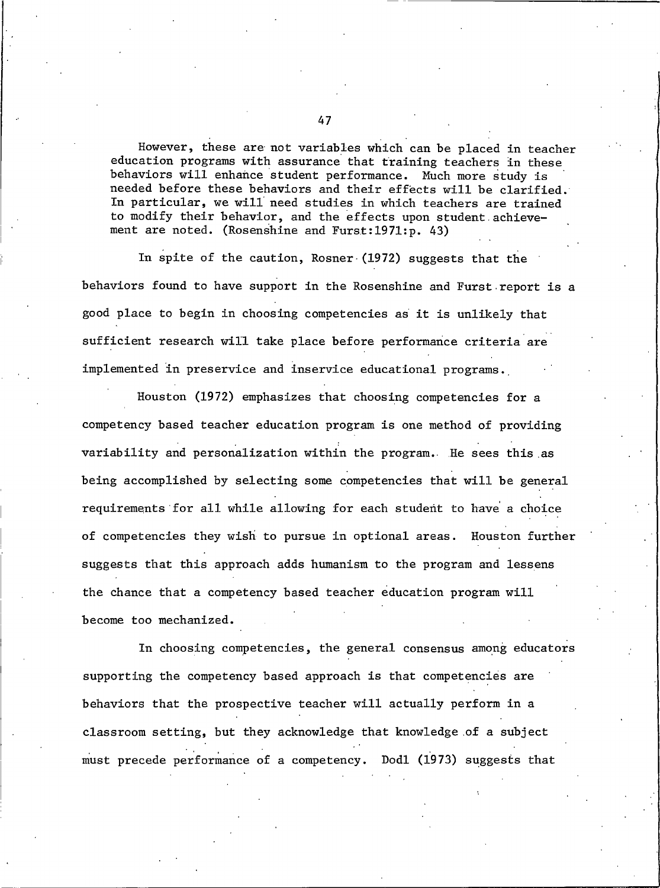However, these are not variables which can be placed in teacher education programs with assurance that training teachers in these behaviors will enhance student performance. Much more study is needed before these behaviors and their effects will be clarified. In particular, we will need studies in which teachers are trained to modify their behavior, and the effects upon student achievement are noted. (Rosenshine and Furst:1971:p. 43)

In spite of the caution, Rosner (1972) suggests that the behaviors found to have support in the Rosenshine and Furst report is a good place to begin in choosing competencies as it is unlikely that sufficient research will take place before performance criteria are implemented in preservice and inservice educational programs.

Houston (1972) emphasizes that choosing competencies for a competency based teacher education program is one method of providing variability and personalization within the program. He sees this as being accomplished by selecting some competencies that will be general requirements for all while allowing for each student to have a choice of competencies they wish to pursue in optional areas. Houston further suggests that this approach adds humanism to the program and lessens the chance that a competency based teacher education program will become too mechanized.

In choosing competencies, the general consensus among educators supporting the competency based approach is that competencies are behaviors that the prospective teacher will actually perform in a classroom setting, but they acknowledge that knowledge of a subject must precede performance of a competency. Dodl (1973) suggests that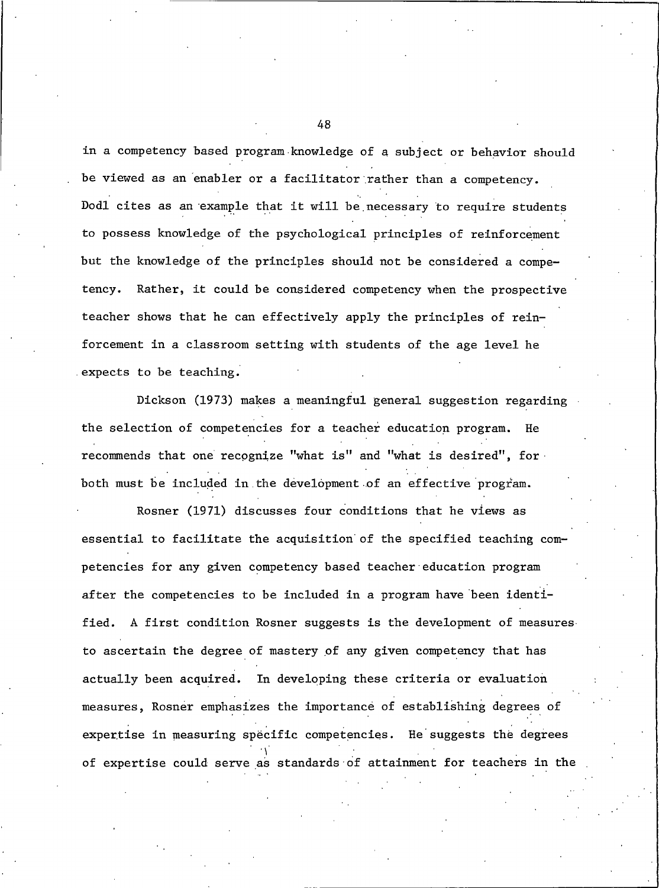in a competency based program knowledge of a subject or behavior should be viewed as an enabler or a facilitator rather than a competency. Dodl cites as an example that it will be necessary to require students to possess knowledge of the psychological principles of reinforcement but the knowledge of the principles should not be considered a compe-Rather, it could be considered competency when the prospective tency. teacher shows that he can effectively apply the principles of reinforcement in a classroom setting with students of the age level he expects to be teaching.

Dickson (1973) makes a meaningful general suggestion regarding the selection of competencies for a teacher education program. He recommends that one recognize "what is" and "what is desired", for both must be included in the development of an effective program.

Rosner (1971) discusses four conditions that he views as essential to facilitate the acquisition of the specified teaching competencies for any given competency based teacher education program after the competencies to be included in a program have been identi-A first condition Rosner suggests is the development of measures fied. to ascertain the degree of mastery of any given competency that has actually been acquired. In developing these criteria or evaluation measures, Rosner emphasizes the importance of establishing degrees of expertise in measuring specific competencies. He suggests the degrees of expertise could serve as standards of attainment for teachers in the